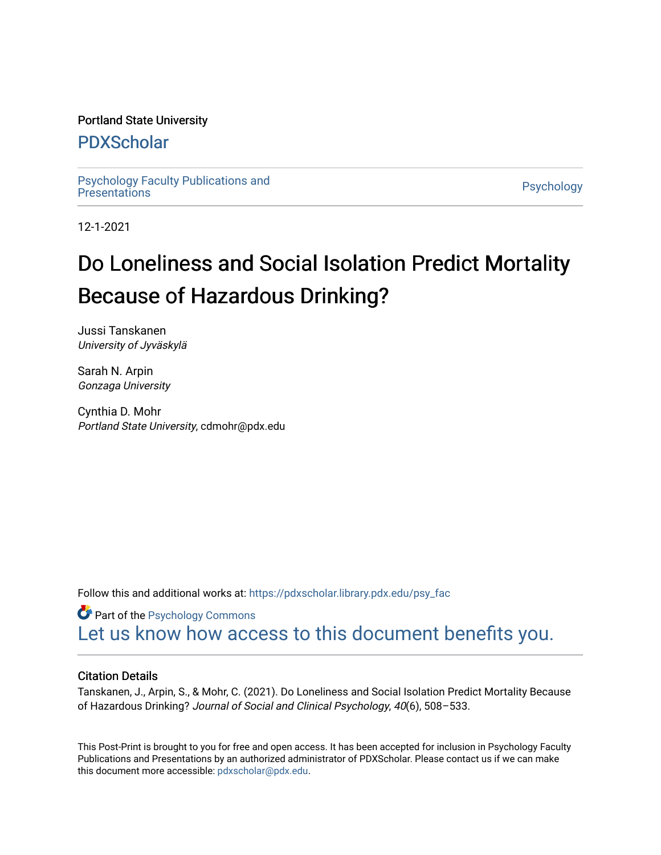# Portland State University

# [PDXScholar](https://pdxscholar.library.pdx.edu/)

[Psychology Faculty Publications and](https://pdxscholar.library.pdx.edu/psy_fac) [Presentations](https://pdxscholar.library.pdx.edu/psy_fac) [Psychology](https://pdxscholar.library.pdx.edu/psy) 

12-1-2021

# Do Loneliness and Social Isolation Predict Mortality Because of Hazardous Drinking?

Jussi Tanskanen University of Jyväskylä

Sarah N. Arpin Gonzaga University

Cynthia D. Mohr Portland State University, cdmohr@pdx.edu

Follow this and additional works at: [https://pdxscholar.library.pdx.edu/psy\\_fac](https://pdxscholar.library.pdx.edu/psy_fac?utm_source=pdxscholar.library.pdx.edu%2Fpsy_fac%2F305&utm_medium=PDF&utm_campaign=PDFCoverPages)

**Part of the Psychology Commons** [Let us know how access to this document benefits you.](http://library.pdx.edu/services/pdxscholar-services/pdxscholar-feedback/?ref=https://pdxscholar.library.pdx.edu/psy_fac/305) 

# Citation Details

Tanskanen, J., Arpin, S., & Mohr, C. (2021). Do Loneliness and Social Isolation Predict Mortality Because of Hazardous Drinking? Journal of Social and Clinical Psychology, 40(6), 508–533.

This Post-Print is brought to you for free and open access. It has been accepted for inclusion in Psychology Faculty Publications and Presentations by an authorized administrator of PDXScholar. Please contact us if we can make this document more accessible: [pdxscholar@pdx.edu.](mailto:pdxscholar@pdx.edu)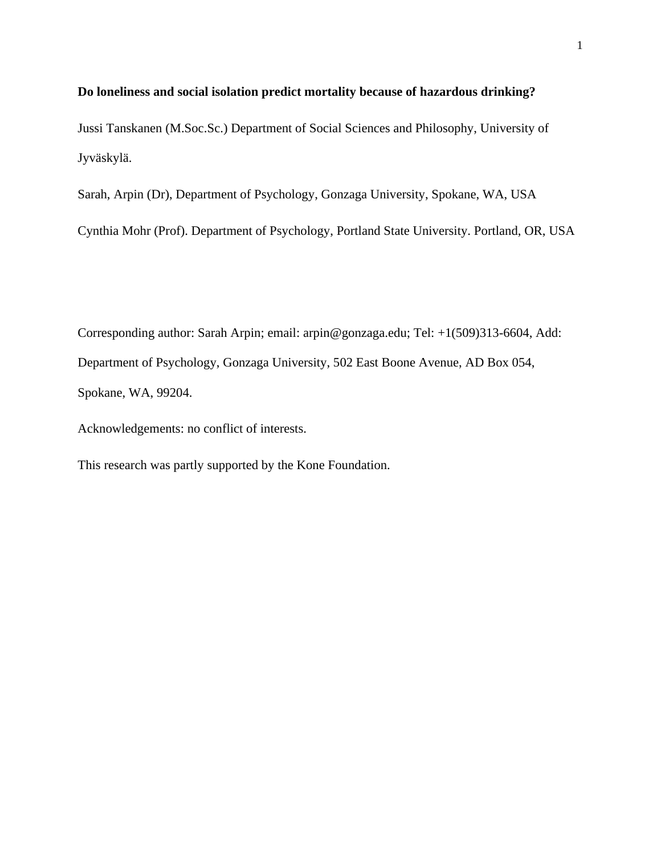# **Do loneliness and social isolation predict mortality because of hazardous drinking?**

Jussi Tanskanen (M.Soc.Sc.) Department of Social Sciences and Philosophy, University of Jyväskylä.

Sarah, Arpin (Dr), Department of Psychology, Gonzaga University, Spokane, WA, USA

Cynthia Mohr (Prof). Department of Psychology, Portland State University. Portland, OR, USA

Corresponding author: Sarah Arpin; email: arpin@gonzaga.edu; Tel: +1(509)313-6604, Add: Department of Psychology, Gonzaga University, 502 East Boone Avenue, AD Box 054, Spokane, WA, 99204.

Acknowledgements: no conflict of interests.

This research was partly supported by the Kone Foundation.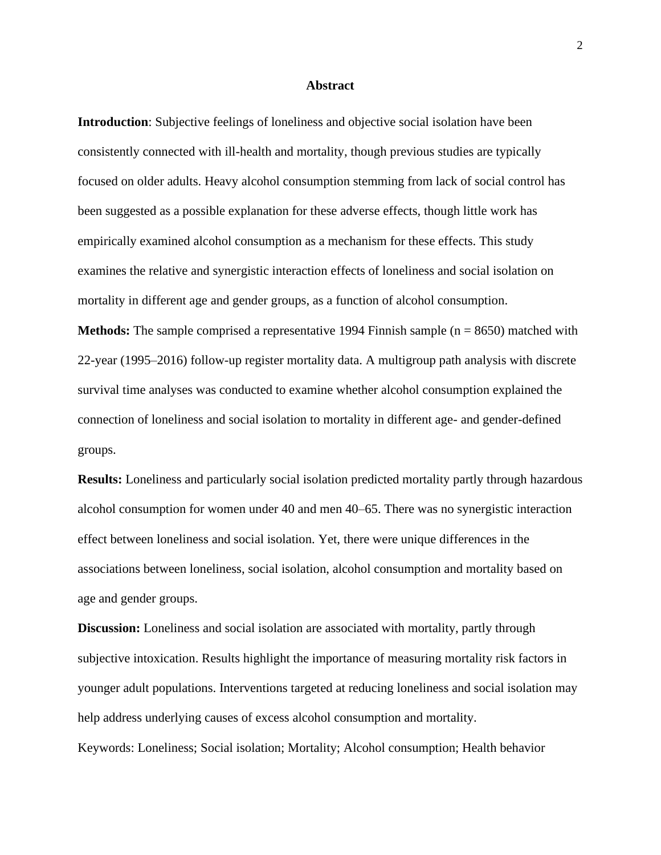#### **Abstract**

**Introduction**: Subjective feelings of loneliness and objective social isolation have been consistently connected with ill-health and mortality, though previous studies are typically focused on older adults. Heavy alcohol consumption stemming from lack of social control has been suggested as a possible explanation for these adverse effects, though little work has empirically examined alcohol consumption as a mechanism for these effects. This study examines the relative and synergistic interaction effects of loneliness and social isolation on mortality in different age and gender groups, as a function of alcohol consumption. **Methods:** The sample comprised a representative 1994 Finnish sample (n = 8650) matched with 22-year (1995–2016) follow-up register mortality data. A multigroup path analysis with discrete survival time analyses was conducted to examine whether alcohol consumption explained the connection of loneliness and social isolation to mortality in different age- and gender-defined groups.

**Results:** Loneliness and particularly social isolation predicted mortality partly through hazardous alcohol consumption for women under 40 and men 40–65. There was no synergistic interaction effect between loneliness and social isolation. Yet, there were unique differences in the associations between loneliness, social isolation, alcohol consumption and mortality based on age and gender groups.

**Discussion:** Loneliness and social isolation are associated with mortality, partly through subjective intoxication. Results highlight the importance of measuring mortality risk factors in younger adult populations. Interventions targeted at reducing loneliness and social isolation may help address underlying causes of excess alcohol consumption and mortality. Keywords: Loneliness; Social isolation; Mortality; Alcohol consumption; Health behavior

2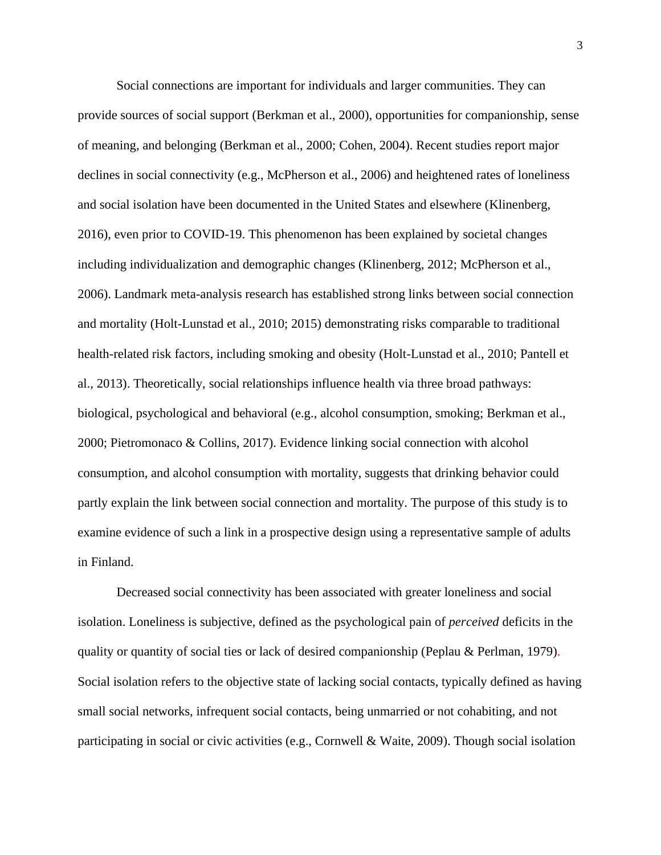Social connections are important for individuals and larger communities. They can provide sources of social support (Berkman et al., 2000), opportunities for companionship, sense of meaning, and belonging (Berkman et al., 2000; Cohen, 2004). Recent studies report major declines in social connectivity (e.g., McPherson et al., 2006) and heightened rates of loneliness and social isolation have been documented in the United States and elsewhere (Klinenberg, 2016), even prior to COVID-19. This phenomenon has been explained by societal changes including individualization and demographic changes (Klinenberg, 2012; McPherson et al., 2006). Landmark meta-analysis research has established strong links between social connection and mortality (Holt-Lunstad et al., 2010; 2015) demonstrating risks comparable to traditional health-related risk factors, including smoking and obesity (Holt-Lunstad et al., 2010; Pantell et al., 2013). Theoretically, social relationships influence health via three broad pathways: biological, psychological and behavioral (e.g., alcohol consumption, smoking; Berkman et al., 2000; Pietromonaco & Collins, 2017). Evidence linking social connection with alcohol consumption, and alcohol consumption with mortality, suggests that drinking behavior could partly explain the link between social connection and mortality. The purpose of this study is to examine evidence of such a link in a prospective design using a representative sample of adults in Finland.

Decreased social connectivity has been associated with greater loneliness and social isolation. Loneliness is subjective, defined as the psychological pain of *perceived* deficits in the quality or quantity of social ties or lack of desired companionship (Peplau & Perlman, 1979). Social isolation refers to the objective state of lacking social contacts, typically defined as having small social networks, infrequent social contacts, being unmarried or not cohabiting, and not participating in social or civic activities (e.g., Cornwell & Waite, 2009). Though social isolation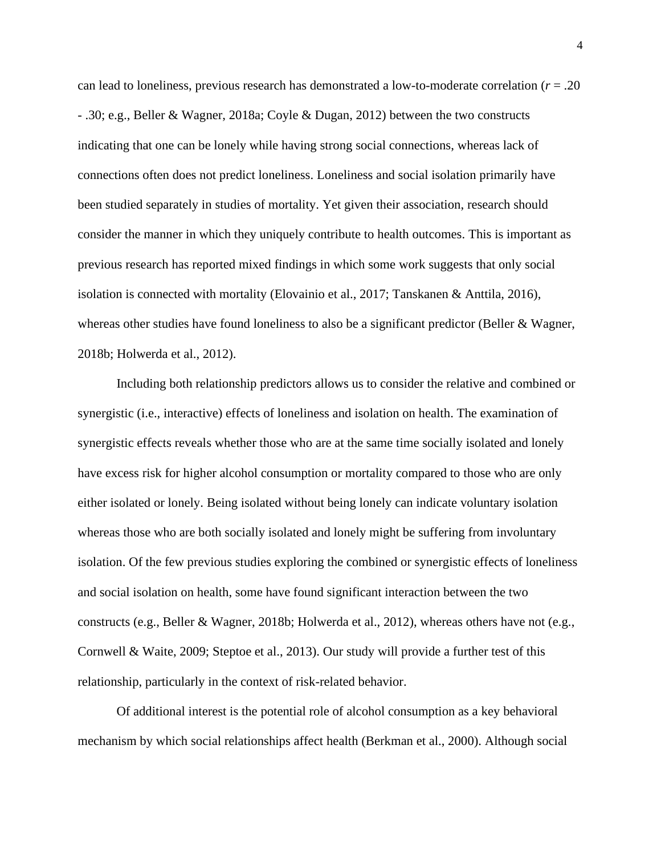can lead to loneliness, previous research has demonstrated a low-to-moderate correlation (*r* = .20 - .30; e.g., Beller & Wagner, 2018a; Coyle & Dugan, 2012) between the two constructs indicating that one can be lonely while having strong social connections, whereas lack of connections often does not predict loneliness. Loneliness and social isolation primarily have been studied separately in studies of mortality. Yet given their association, research should consider the manner in which they uniquely contribute to health outcomes. This is important as previous research has reported mixed findings in which some work suggests that only social isolation is connected with mortality (Elovainio et al., 2017; Tanskanen & Anttila, 2016), whereas other studies have found loneliness to also be a significant predictor (Beller & Wagner, 2018b; Holwerda et al., 2012).

Including both relationship predictors allows us to consider the relative and combined or synergistic (i.e., interactive) effects of loneliness and isolation on health. The examination of synergistic effects reveals whether those who are at the same time socially isolated and lonely have excess risk for higher alcohol consumption or mortality compared to those who are only either isolated or lonely. Being isolated without being lonely can indicate voluntary isolation whereas those who are both socially isolated and lonely might be suffering from involuntary isolation. Of the few previous studies exploring the combined or synergistic effects of loneliness and social isolation on health, some have found significant interaction between the two constructs (e.g., Beller & Wagner, 2018b; Holwerda et al., 2012), whereas others have not (e.g., Cornwell & Waite, 2009; Steptoe et al., 2013). Our study will provide a further test of this relationship, particularly in the context of risk-related behavior.

Of additional interest is the potential role of alcohol consumption as a key behavioral mechanism by which social relationships affect health (Berkman et al., 2000). Although social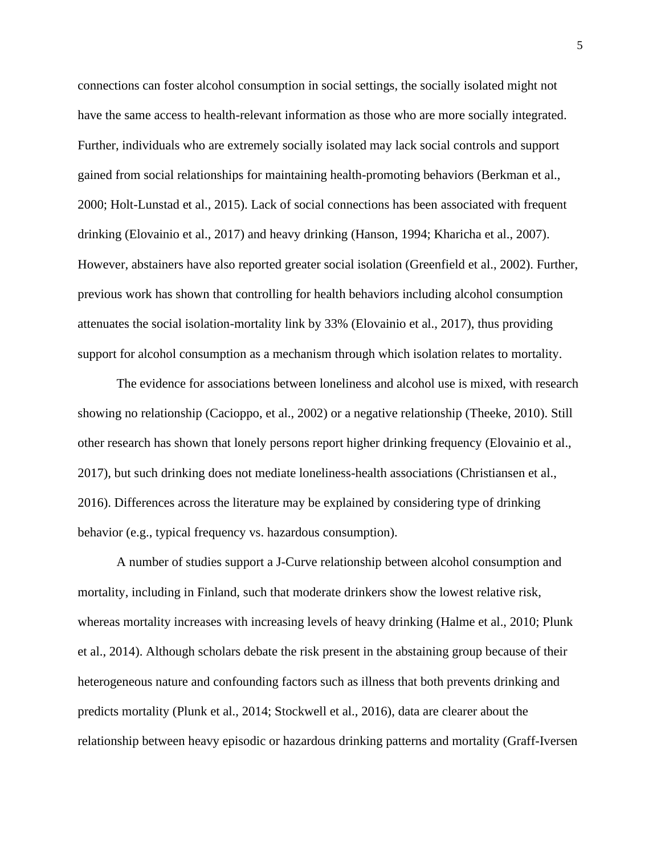connections can foster alcohol consumption in social settings, the socially isolated might not have the same access to health-relevant information as those who are more socially integrated. Further, individuals who are extremely socially isolated may lack social controls and support gained from social relationships for maintaining health-promoting behaviors (Berkman et al., 2000; Holt-Lunstad et al., 2015). Lack of social connections has been associated with frequent drinking (Elovainio et al., 2017) and heavy drinking (Hanson, 1994; Kharicha et al., 2007). However, abstainers have also reported greater social isolation (Greenfield et al., 2002). Further, previous work has shown that controlling for health behaviors including alcohol consumption attenuates the social isolation-mortality link by 33% (Elovainio et al., 2017), thus providing support for alcohol consumption as a mechanism through which isolation relates to mortality.

The evidence for associations between loneliness and alcohol use is mixed, with research showing no relationship (Cacioppo, et al., 2002) or a negative relationship (Theeke, 2010). Still other research has shown that lonely persons report higher drinking frequency (Elovainio et al., 2017), but such drinking does not mediate loneliness-health associations (Christiansen et al., 2016). Differences across the literature may be explained by considering type of drinking behavior (e.g., typical frequency vs. hazardous consumption).

A number of studies support a J-Curve relationship between alcohol consumption and mortality, including in Finland, such that moderate drinkers show the lowest relative risk, whereas mortality increases with increasing levels of heavy drinking (Halme et al., 2010; Plunk et al., 2014). Although scholars debate the risk present in the abstaining group because of their heterogeneous nature and confounding factors such as illness that both prevents drinking and predicts mortality (Plunk et al., 2014; Stockwell et al., 2016), data are clearer about the relationship between heavy episodic or hazardous drinking patterns and mortality (Graff-Iversen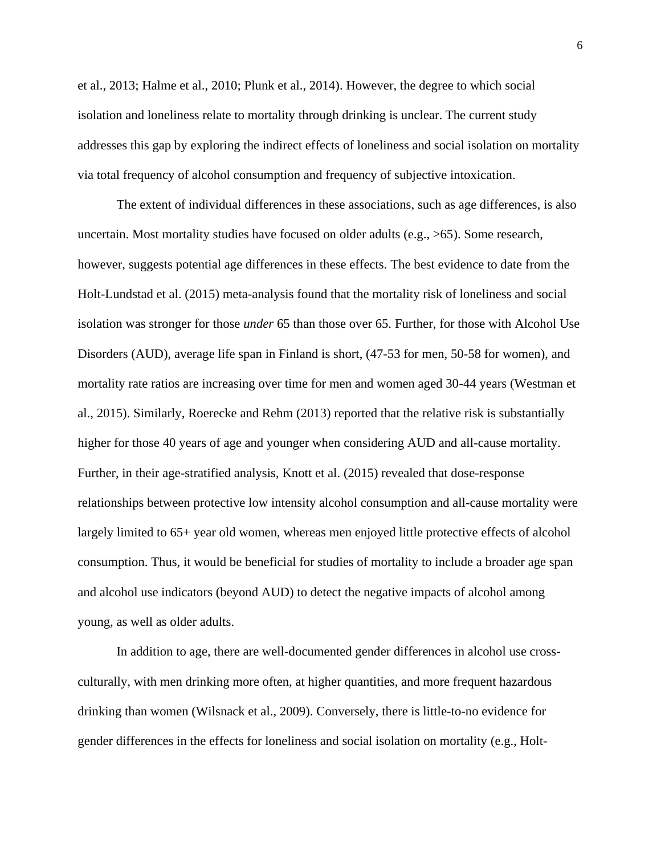et al., 2013; Halme et al., 2010; Plunk et al., 2014). However, the degree to which social isolation and loneliness relate to mortality through drinking is unclear. The current study addresses this gap by exploring the indirect effects of loneliness and social isolation on mortality via total frequency of alcohol consumption and frequency of subjective intoxication.

The extent of individual differences in these associations, such as age differences, is also uncertain. Most mortality studies have focused on older adults (e.g., >65). Some research, however, suggests potential age differences in these effects. The best evidence to date from the Holt-Lundstad et al. (2015) meta-analysis found that the mortality risk of loneliness and social isolation was stronger for those *under* 65 than those over 65. Further, for those with Alcohol Use Disorders (AUD), average life span in Finland is short, (47-53 for men, 50-58 for women), and mortality rate ratios are increasing over time for men and women aged 30-44 years (Westman et al., 2015). Similarly, Roerecke and Rehm (2013) reported that the relative risk is substantially higher for those 40 years of age and younger when considering AUD and all-cause mortality. Further, in their age-stratified analysis, Knott et al. (2015) revealed that dose-response relationships between protective low intensity alcohol consumption and all-cause mortality were largely limited to 65+ year old women, whereas men enjoyed little protective effects of alcohol consumption. Thus, it would be beneficial for studies of mortality to include a broader age span and alcohol use indicators (beyond AUD) to detect the negative impacts of alcohol among young, as well as older adults.

In addition to age, there are well-documented gender differences in alcohol use crossculturally, with men drinking more often, at higher quantities, and more frequent hazardous drinking than women (Wilsnack et al., 2009). Conversely, there is little-to-no evidence for gender differences in the effects for loneliness and social isolation on mortality (e.g., Holt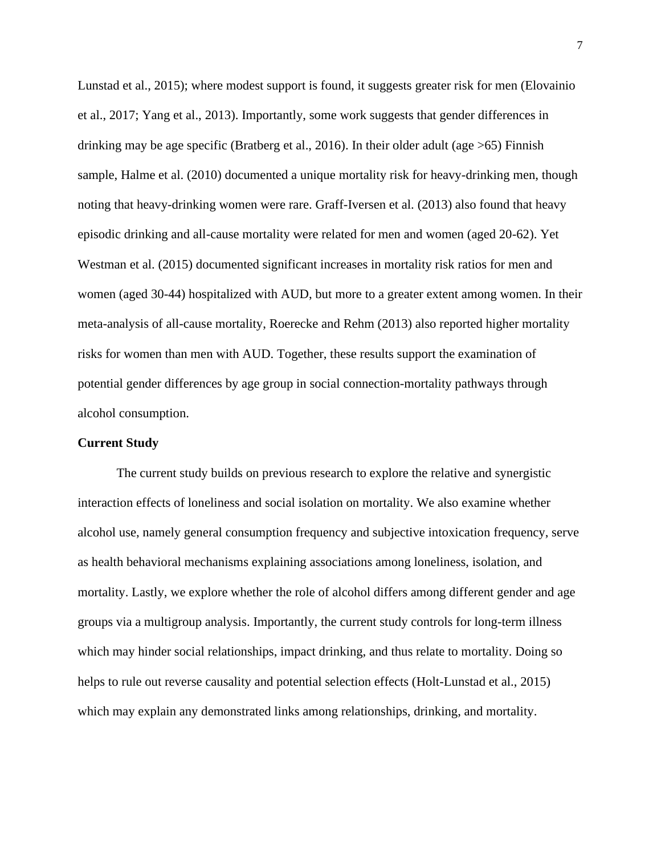Lunstad et al., 2015); where modest support is found, it suggests greater risk for men (Elovainio et al., 2017; Yang et al., 2013). Importantly, some work suggests that gender differences in drinking may be age specific (Bratberg et al., 2016). In their older adult (age >65) Finnish sample, Halme et al. (2010) documented a unique mortality risk for heavy-drinking men, though noting that heavy-drinking women were rare. Graff-Iversen et al. (2013) also found that heavy episodic drinking and all-cause mortality were related for men and women (aged 20-62). Yet Westman et al. (2015) documented significant increases in mortality risk ratios for men and women (aged 30-44) hospitalized with AUD, but more to a greater extent among women. In their meta-analysis of all-cause mortality, Roerecke and Rehm (2013) also reported higher mortality risks for women than men with AUD. Together, these results support the examination of potential gender differences by age group in social connection-mortality pathways through alcohol consumption.

# **Current Study**

The current study builds on previous research to explore the relative and synergistic interaction effects of loneliness and social isolation on mortality. We also examine whether alcohol use, namely general consumption frequency and subjective intoxication frequency, serve as health behavioral mechanisms explaining associations among loneliness, isolation, and mortality. Lastly, we explore whether the role of alcohol differs among different gender and age groups via a multigroup analysis. Importantly, the current study controls for long-term illness which may hinder social relationships, impact drinking, and thus relate to mortality. Doing so helps to rule out reverse causality and potential selection effects (Holt-Lunstad et al., 2015) which may explain any demonstrated links among relationships, drinking, and mortality.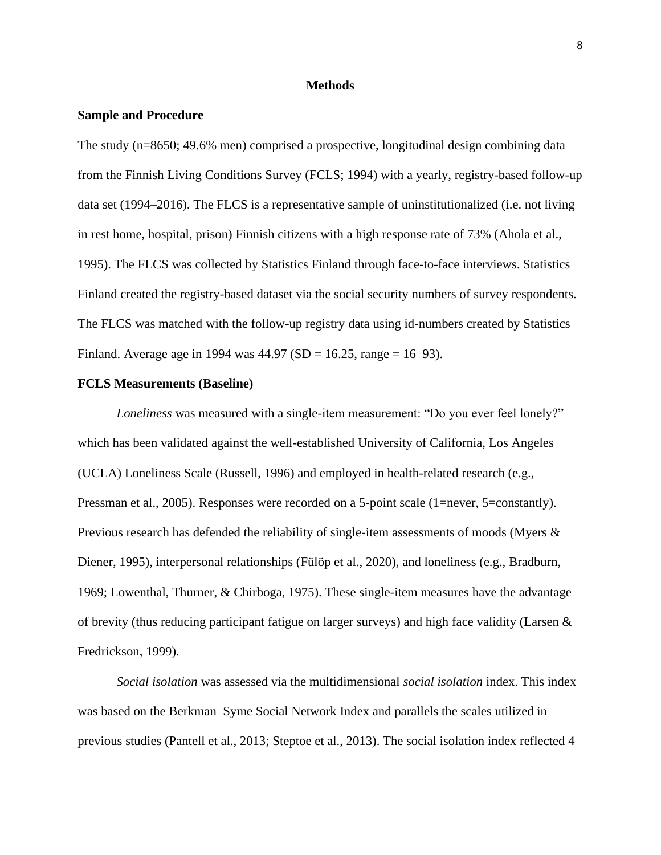#### **Methods**

## **Sample and Procedure**

The study (n=8650; 49.6% men) comprised a prospective, longitudinal design combining data from the Finnish Living Conditions Survey (FCLS; 1994) with a yearly, registry-based follow-up data set (1994–2016). The FLCS is a representative sample of uninstitutionalized (i.e. not living in rest home, hospital, prison) Finnish citizens with a high response rate of 73% (Ahola et al., 1995). The FLCS was collected by Statistics Finland through face-to-face interviews. Statistics Finland created the registry-based dataset via the social security numbers of survey respondents. The FLCS was matched with the follow-up registry data using id-numbers created by Statistics Finland. Average age in 1994 was  $44.97$  (SD = 16.25, range = 16–93).

#### **FCLS Measurements (Baseline)**

*Loneliness* was measured with a single-item measurement: "Do you ever feel lonely?" which has been validated against the well-established University of California, Los Angeles (UCLA) Loneliness Scale (Russell, 1996) and employed in health-related research (e.g., Pressman et al., 2005). Responses were recorded on a 5-point scale (1=never, 5=constantly). Previous research has defended the reliability of single-item assessments of moods (Myers & Diener, 1995), interpersonal relationships (Fülöp et al., 2020), and loneliness (e.g., Bradburn, 1969; Lowenthal, Thurner, & Chirboga, 1975). These single-item measures have the advantage of brevity (thus reducing participant fatigue on larger surveys) and high face validity (Larsen  $\&$ Fredrickson, 1999).

*Social isolation* was assessed via the multidimensional *social isolation* index. This index was based on the Berkman–Syme Social Network Index and parallels the scales utilized in previous studies (Pantell et al., 2013; Steptoe et al., 2013). The social isolation index reflected 4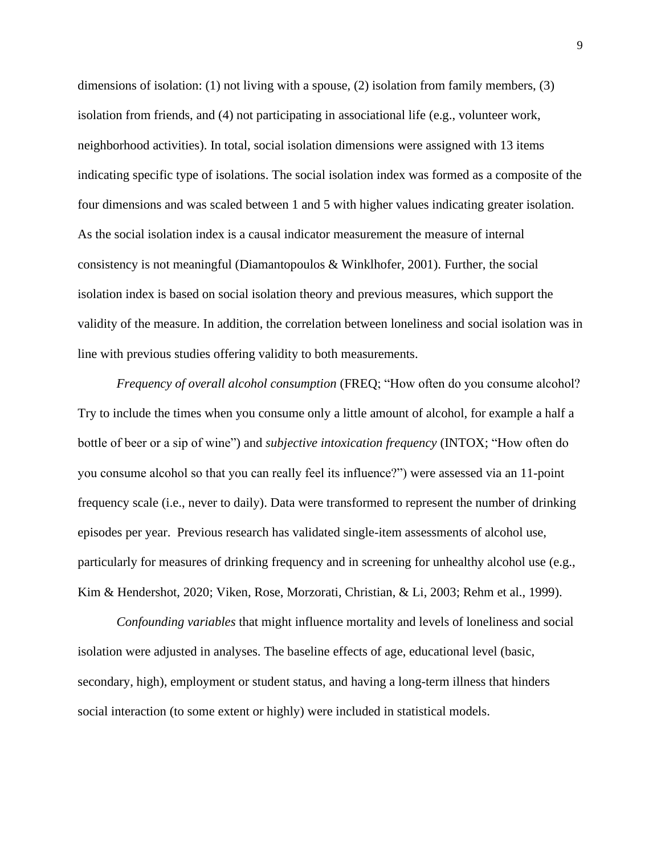dimensions of isolation: (1) not living with a spouse, (2) isolation from family members, (3) isolation from friends, and (4) not participating in associational life (e.g., volunteer work, neighborhood activities). In total, social isolation dimensions were assigned with 13 items indicating specific type of isolations. The social isolation index was formed as a composite of the four dimensions and was scaled between 1 and 5 with higher values indicating greater isolation. As the social isolation index is a causal indicator measurement the measure of internal consistency is not meaningful (Diamantopoulos & Winklhofer, 2001). Further, the social isolation index is based on social isolation theory and previous measures, which support the validity of the measure. In addition, the correlation between loneliness and social isolation was in line with previous studies offering validity to both measurements.

*Frequency of overall alcohol consumption* (FREQ; "How often do you consume alcohol? Try to include the times when you consume only a little amount of alcohol, for example a half a bottle of beer or a sip of wine") and *subjective intoxication frequency* (INTOX; "How often do you consume alcohol so that you can really feel its influence?") were assessed via an 11-point frequency scale (i.e., never to daily). Data were transformed to represent the number of drinking episodes per year. Previous research has validated single-item assessments of alcohol use, particularly for measures of drinking frequency and in screening for unhealthy alcohol use (e.g., Kim & Hendershot, 2020; Viken, Rose, Morzorati, Christian, & Li, 2003; Rehm et al., 1999).

*Confounding variables* that might influence mortality and levels of loneliness and social isolation were adjusted in analyses. The baseline effects of age, educational level (basic, secondary, high), employment or student status, and having a long-term illness that hinders social interaction (to some extent or highly) were included in statistical models.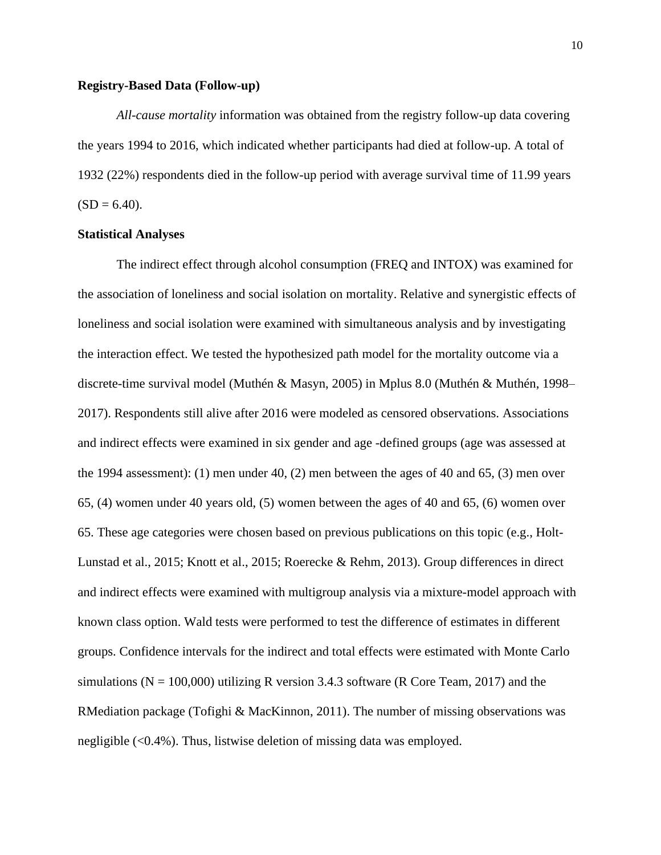#### **Registry-Based Data (Follow-up)**

*All-cause mortality* information was obtained from the registry follow-up data covering the years 1994 to 2016, which indicated whether participants had died at follow-up. A total of 1932 (22%) respondents died in the follow-up period with average survival time of 11.99 years  $(SD = 6.40)$ .

# **Statistical Analyses**

The indirect effect through alcohol consumption (FREQ and INTOX) was examined for the association of loneliness and social isolation on mortality. Relative and synergistic effects of loneliness and social isolation were examined with simultaneous analysis and by investigating the interaction effect. We tested the hypothesized path model for the mortality outcome via a discrete-time survival model (Muthén & Masyn, 2005) in Mplus 8.0 (Muthén & Muthén, 1998– 2017). Respondents still alive after 2016 were modeled as censored observations. Associations and indirect effects were examined in six gender and age -defined groups (age was assessed at the 1994 assessment): (1) men under 40, (2) men between the ages of 40 and 65, (3) men over 65, (4) women under 40 years old, (5) women between the ages of 40 and 65, (6) women over 65. These age categories were chosen based on previous publications on this topic (e.g., Holt-Lunstad et al., 2015; Knott et al., 2015; Roerecke & Rehm, 2013). Group differences in direct and indirect effects were examined with multigroup analysis via a mixture-model approach with known class option. Wald tests were performed to test the difference of estimates in different groups. Confidence intervals for the indirect and total effects were estimated with Monte Carlo simulations ( $N = 100,000$ ) utilizing R version 3.4.3 software (R Core Team, 2017) and the RMediation package (Tofighi & MacKinnon, 2011). The number of missing observations was negligible (<0.4%). Thus, listwise deletion of missing data was employed.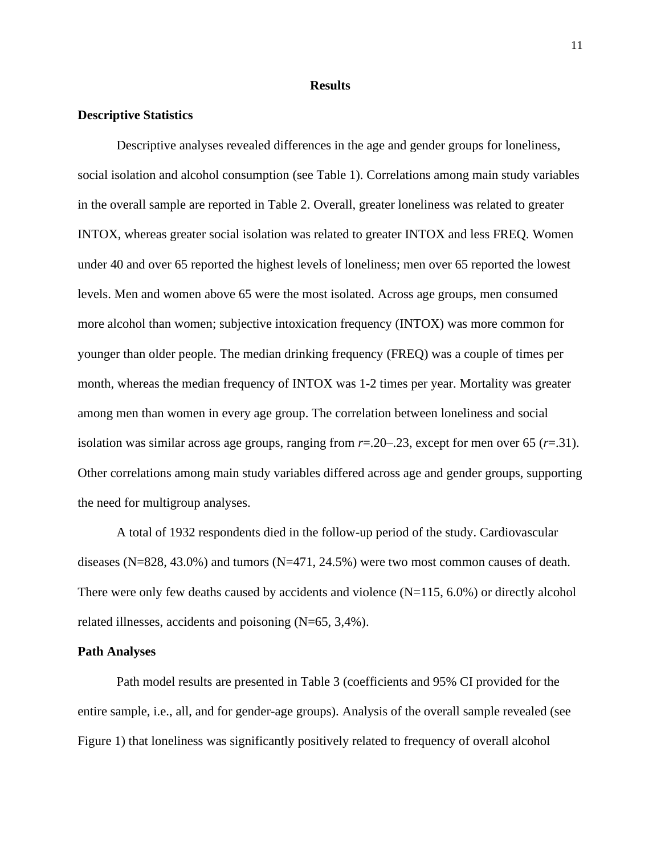#### **Results**

## **Descriptive Statistics**

Descriptive analyses revealed differences in the age and gender groups for loneliness, social isolation and alcohol consumption (see Table 1). Correlations among main study variables in the overall sample are reported in Table 2. Overall, greater loneliness was related to greater INTOX, whereas greater social isolation was related to greater INTOX and less FREQ. Women under 40 and over 65 reported the highest levels of loneliness; men over 65 reported the lowest levels. Men and women above 65 were the most isolated. Across age groups, men consumed more alcohol than women; subjective intoxication frequency (INTOX) was more common for younger than older people. The median drinking frequency (FREQ) was a couple of times per month, whereas the median frequency of INTOX was 1-2 times per year. Mortality was greater among men than women in every age group. The correlation between loneliness and social isolation was similar across age groups, ranging from  $r=20-23$ , except for men over 65  $(r=.31)$ . Other correlations among main study variables differed across age and gender groups, supporting the need for multigroup analyses.

A total of 1932 respondents died in the follow-up period of the study. Cardiovascular diseases (N=828, 43.0%) and tumors (N=471, 24.5%) were two most common causes of death. There were only few deaths caused by accidents and violence (N=115, 6.0%) or directly alcohol related illnesses, accidents and poisoning (N=65, 3,4%).

#### **Path Analyses**

Path model results are presented in Table 3 (coefficients and 95% CI provided for the entire sample, i.e., all, and for gender-age groups). Analysis of the overall sample revealed (see Figure 1) that loneliness was significantly positively related to frequency of overall alcohol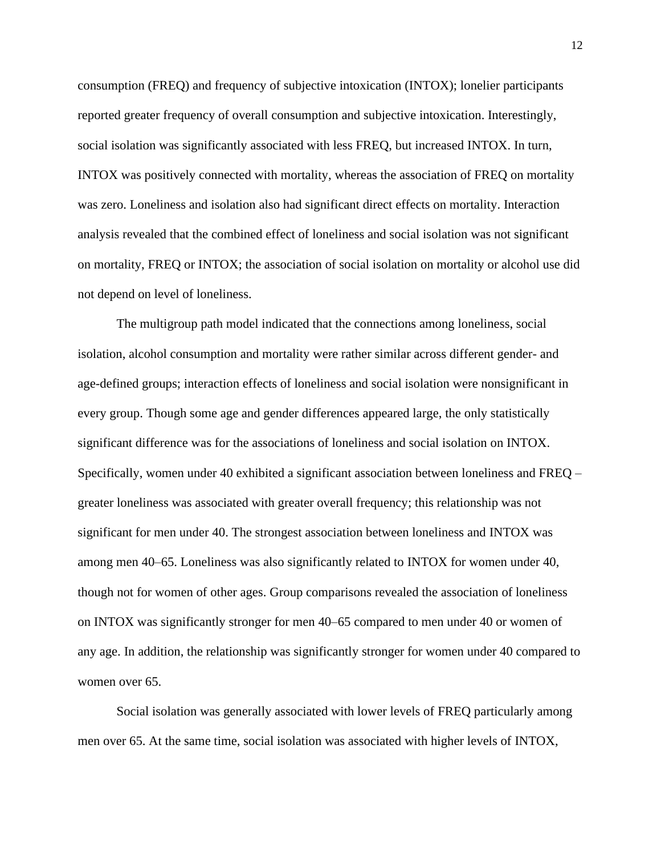consumption (FREQ) and frequency of subjective intoxication (INTOX); lonelier participants reported greater frequency of overall consumption and subjective intoxication. Interestingly, social isolation was significantly associated with less FREQ, but increased INTOX. In turn, INTOX was positively connected with mortality, whereas the association of FREQ on mortality was zero. Loneliness and isolation also had significant direct effects on mortality. Interaction analysis revealed that the combined effect of loneliness and social isolation was not significant on mortality, FREQ or INTOX; the association of social isolation on mortality or alcohol use did not depend on level of loneliness.

The multigroup path model indicated that the connections among loneliness, social isolation, alcohol consumption and mortality were rather similar across different gender- and age-defined groups; interaction effects of loneliness and social isolation were nonsignificant in every group. Though some age and gender differences appeared large, the only statistically significant difference was for the associations of loneliness and social isolation on INTOX. Specifically, women under 40 exhibited a significant association between loneliness and FREQ – greater loneliness was associated with greater overall frequency; this relationship was not significant for men under 40. The strongest association between loneliness and INTOX was among men 40–65. Loneliness was also significantly related to INTOX for women under 40, though not for women of other ages. Group comparisons revealed the association of loneliness on INTOX was significantly stronger for men 40–65 compared to men under 40 or women of any age. In addition, the relationship was significantly stronger for women under 40 compared to women over 65.

Social isolation was generally associated with lower levels of FREQ particularly among men over 65. At the same time, social isolation was associated with higher levels of INTOX,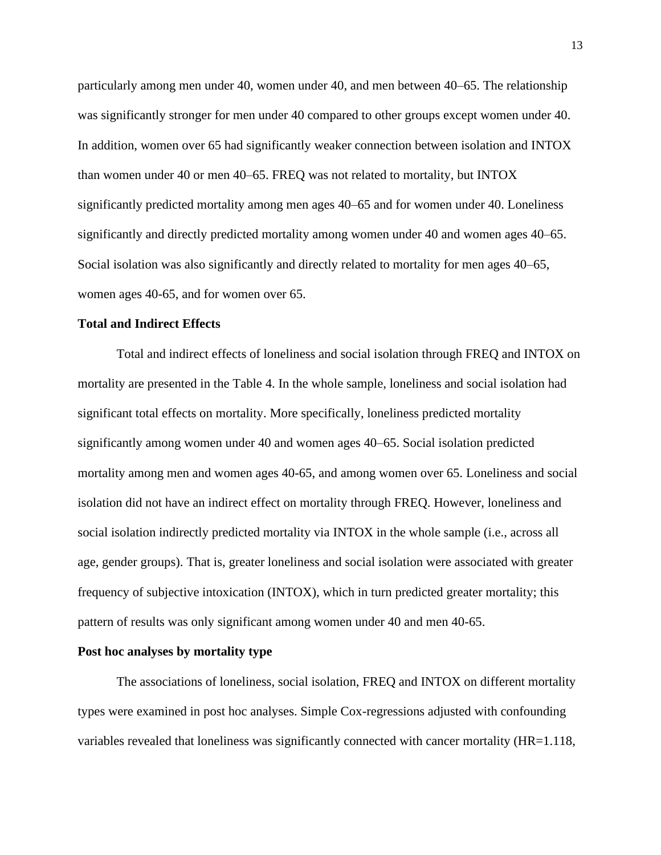particularly among men under 40, women under 40, and men between 40–65. The relationship was significantly stronger for men under 40 compared to other groups except women under 40. In addition, women over 65 had significantly weaker connection between isolation and INTOX than women under 40 or men 40–65. FREQ was not related to mortality, but INTOX significantly predicted mortality among men ages 40–65 and for women under 40. Loneliness significantly and directly predicted mortality among women under 40 and women ages 40–65. Social isolation was also significantly and directly related to mortality for men ages 40–65, women ages 40-65, and for women over 65.

# **Total and Indirect Effects**

Total and indirect effects of loneliness and social isolation through FREQ and INTOX on mortality are presented in the Table 4. In the whole sample, loneliness and social isolation had significant total effects on mortality. More specifically, loneliness predicted mortality significantly among women under 40 and women ages 40–65. Social isolation predicted mortality among men and women ages 40-65, and among women over 65. Loneliness and social isolation did not have an indirect effect on mortality through FREQ. However, loneliness and social isolation indirectly predicted mortality via INTOX in the whole sample (i.e., across all age, gender groups). That is, greater loneliness and social isolation were associated with greater frequency of subjective intoxication (INTOX), which in turn predicted greater mortality; this pattern of results was only significant among women under 40 and men 40-65.

#### **Post hoc analyses by mortality type**

The associations of loneliness, social isolation, FREQ and INTOX on different mortality types were examined in post hoc analyses. Simple Cox-regressions adjusted with confounding variables revealed that loneliness was significantly connected with cancer mortality (HR=1.118,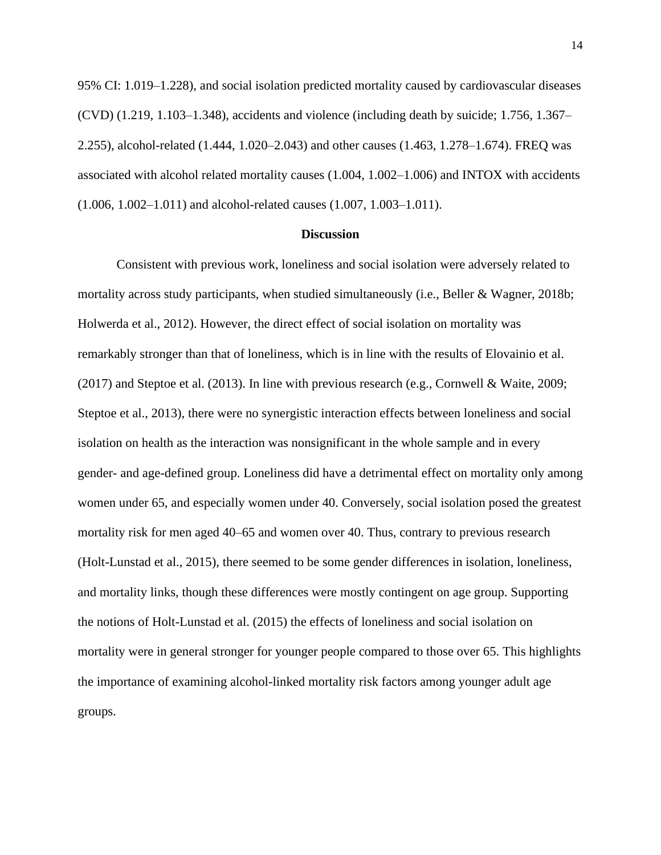95% CI: 1.019–1.228), and social isolation predicted mortality caused by cardiovascular diseases (CVD) (1.219, 1.103–1.348), accidents and violence (including death by suicide; 1.756, 1.367– 2.255), alcohol-related (1.444, 1.020–2.043) and other causes (1.463, 1.278–1.674). FREQ was associated with alcohol related mortality causes (1.004, 1.002–1.006) and INTOX with accidents (1.006, 1.002–1.011) and alcohol-related causes (1.007, 1.003–1.011).

#### **Discussion**

Consistent with previous work, loneliness and social isolation were adversely related to mortality across study participants, when studied simultaneously (i.e., Beller & Wagner, 2018b; Holwerda et al., 2012). However, the direct effect of social isolation on mortality was remarkably stronger than that of loneliness, which is in line with the results of Elovainio et al. (2017) and Steptoe et al. (2013). In line with previous research (e.g., Cornwell & Waite, 2009; Steptoe et al., 2013), there were no synergistic interaction effects between loneliness and social isolation on health as the interaction was nonsignificant in the whole sample and in every gender- and age-defined group. Loneliness did have a detrimental effect on mortality only among women under 65, and especially women under 40. Conversely, social isolation posed the greatest mortality risk for men aged 40–65 and women over 40. Thus, contrary to previous research (Holt-Lunstad et al., 2015), there seemed to be some gender differences in isolation, loneliness, and mortality links, though these differences were mostly contingent on age group. Supporting the notions of Holt-Lunstad et al. (2015) the effects of loneliness and social isolation on mortality were in general stronger for younger people compared to those over 65. This highlights the importance of examining alcohol-linked mortality risk factors among younger adult age groups.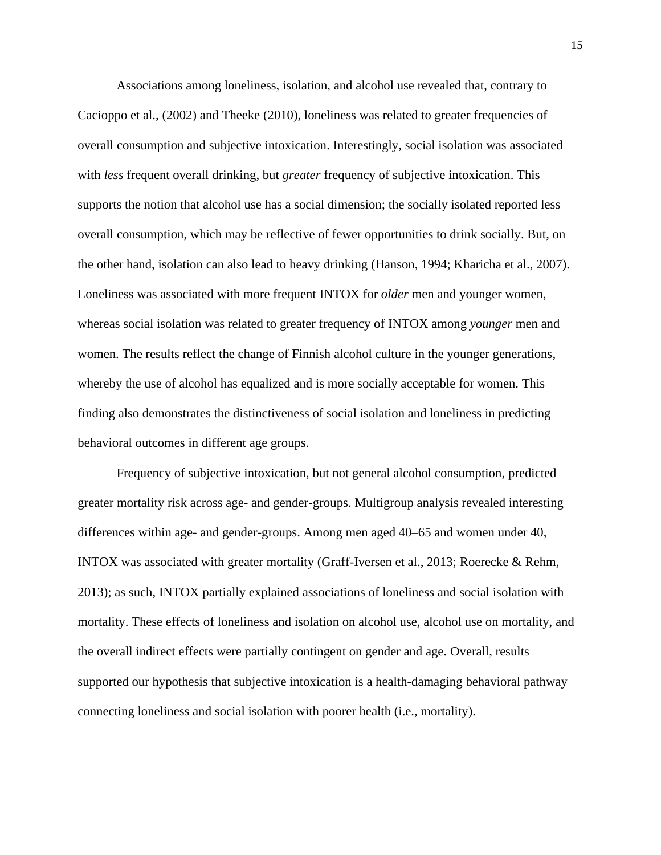Associations among loneliness, isolation, and alcohol use revealed that, contrary to Cacioppo et al., (2002) and Theeke (2010), loneliness was related to greater frequencies of overall consumption and subjective intoxication. Interestingly, social isolation was associated with *less* frequent overall drinking, but *greater* frequency of subjective intoxication. This supports the notion that alcohol use has a social dimension; the socially isolated reported less overall consumption, which may be reflective of fewer opportunities to drink socially. But, on the other hand, isolation can also lead to heavy drinking (Hanson, 1994; Kharicha et al., 2007). Loneliness was associated with more frequent INTOX for *older* men and younger women, whereas social isolation was related to greater frequency of INTOX among *younger* men and women. The results reflect the change of Finnish alcohol culture in the younger generations, whereby the use of alcohol has equalized and is more socially acceptable for women. This finding also demonstrates the distinctiveness of social isolation and loneliness in predicting behavioral outcomes in different age groups.

Frequency of subjective intoxication, but not general alcohol consumption, predicted greater mortality risk across age- and gender-groups. Multigroup analysis revealed interesting differences within age- and gender-groups. Among men aged 40–65 and women under 40, INTOX was associated with greater mortality (Graff-Iversen et al., 2013; Roerecke & Rehm, 2013); as such, INTOX partially explained associations of loneliness and social isolation with mortality. These effects of loneliness and isolation on alcohol use, alcohol use on mortality, and the overall indirect effects were partially contingent on gender and age. Overall, results supported our hypothesis that subjective intoxication is a health-damaging behavioral pathway connecting loneliness and social isolation with poorer health (i.e., mortality).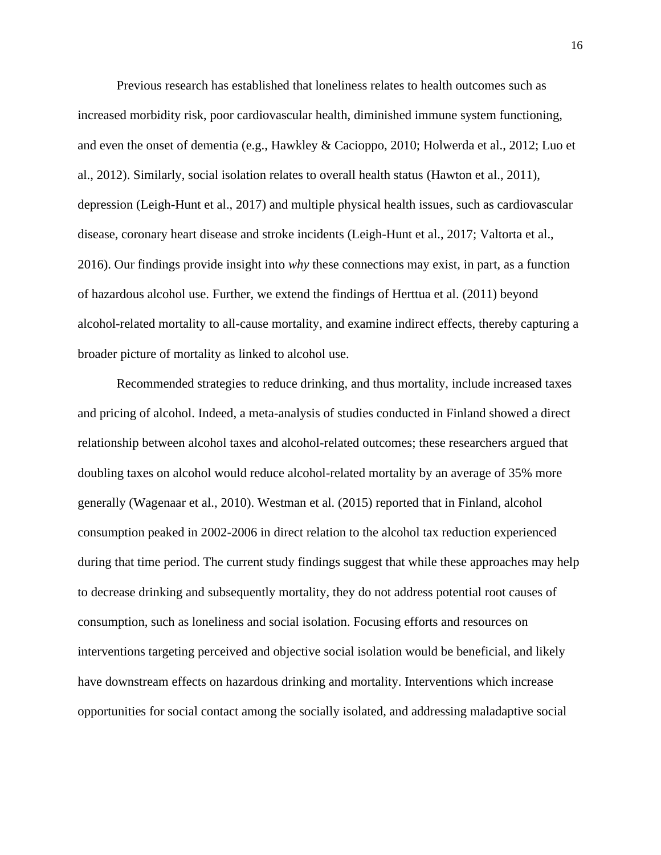Previous research has established that loneliness relates to health outcomes such as increased morbidity risk, poor cardiovascular health, diminished immune system functioning, and even the onset of dementia (e.g., Hawkley & Cacioppo, 2010; Holwerda et al., 2012; Luo et al., 2012). Similarly, social isolation relates to overall health status (Hawton et al., 2011), depression (Leigh-Hunt et al., 2017) and multiple physical health issues, such as cardiovascular disease, coronary heart disease and stroke incidents (Leigh-Hunt et al., 2017; Valtorta et al., 2016). Our findings provide insight into *why* these connections may exist, in part, as a function of hazardous alcohol use. Further, we extend the findings of Herttua et al. (2011) beyond alcohol-related mortality to all-cause mortality, and examine indirect effects, thereby capturing a broader picture of mortality as linked to alcohol use.

Recommended strategies to reduce drinking, and thus mortality, include increased taxes and pricing of alcohol. Indeed, a meta-analysis of studies conducted in Finland showed a direct relationship between alcohol taxes and alcohol-related outcomes; these researchers argued that doubling taxes on alcohol would reduce alcohol-related mortality by an average of 35% more generally (Wagenaar et al., 2010). Westman et al. (2015) reported that in Finland, alcohol consumption peaked in 2002-2006 in direct relation to the alcohol tax reduction experienced during that time period. The current study findings suggest that while these approaches may help to decrease drinking and subsequently mortality, they do not address potential root causes of consumption, such as loneliness and social isolation. Focusing efforts and resources on interventions targeting perceived and objective social isolation would be beneficial, and likely have downstream effects on hazardous drinking and mortality. Interventions which increase opportunities for social contact among the socially isolated, and addressing maladaptive social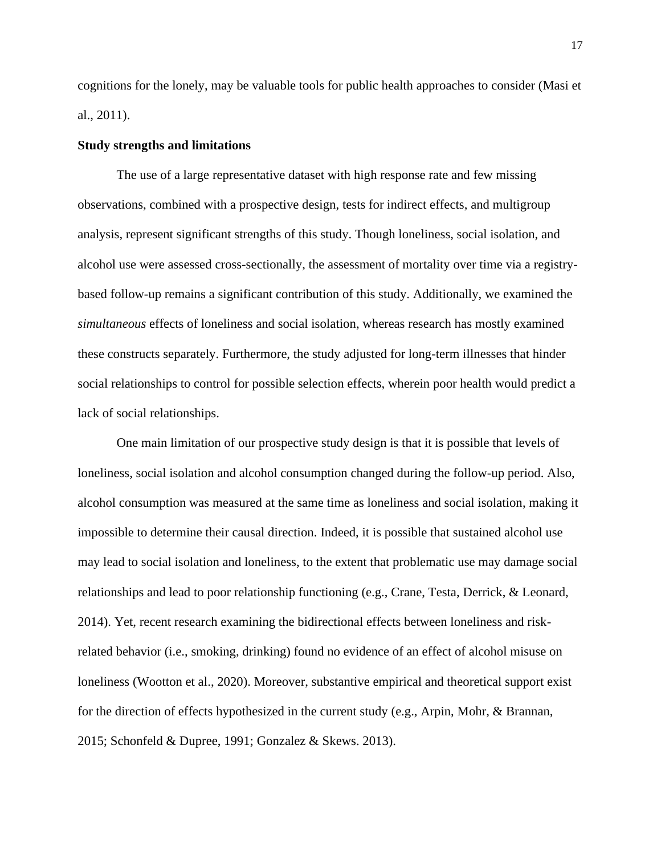cognitions for the lonely, may be valuable tools for public health approaches to consider (Masi et al., 2011).

## **Study strengths and limitations**

The use of a large representative dataset with high response rate and few missing observations, combined with a prospective design, tests for indirect effects, and multigroup analysis, represent significant strengths of this study. Though loneliness, social isolation, and alcohol use were assessed cross-sectionally, the assessment of mortality over time via a registrybased follow-up remains a significant contribution of this study. Additionally, we examined the *simultaneous* effects of loneliness and social isolation, whereas research has mostly examined these constructs separately. Furthermore, the study adjusted for long-term illnesses that hinder social relationships to control for possible selection effects, wherein poor health would predict a lack of social relationships.

One main limitation of our prospective study design is that it is possible that levels of loneliness, social isolation and alcohol consumption changed during the follow-up period. Also, alcohol consumption was measured at the same time as loneliness and social isolation, making it impossible to determine their causal direction. Indeed, it is possible that sustained alcohol use may lead to social isolation and loneliness, to the extent that problematic use may damage social relationships and lead to poor relationship functioning (e.g., Crane, Testa, Derrick, & Leonard, 2014). Yet, recent research examining the bidirectional effects between loneliness and riskrelated behavior (i.e., smoking, drinking) found no evidence of an effect of alcohol misuse on loneliness (Wootton et al., 2020). Moreover, substantive empirical and theoretical support exist for the direction of effects hypothesized in the current study (e.g., Arpin, Mohr, & Brannan, 2015; Schonfeld & Dupree, 1991; Gonzalez & Skews. 2013).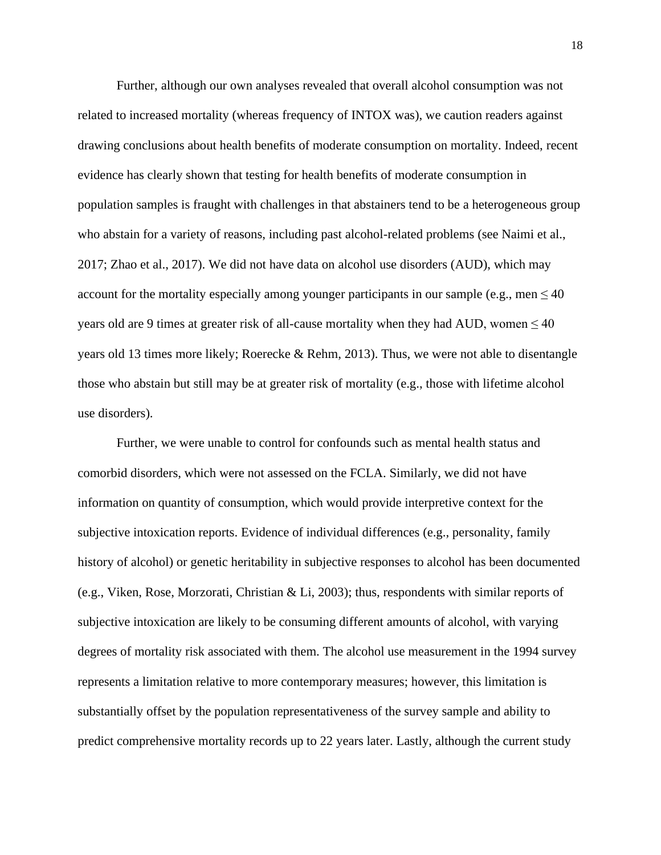Further, although our own analyses revealed that overall alcohol consumption was not related to increased mortality (whereas frequency of INTOX was), we caution readers against drawing conclusions about health benefits of moderate consumption on mortality. Indeed, recent evidence has clearly shown that testing for health benefits of moderate consumption in population samples is fraught with challenges in that abstainers tend to be a heterogeneous group who abstain for a variety of reasons, including past alcohol-related problems (see Naimi et al., 2017; Zhao et al., 2017). We did not have data on alcohol use disorders (AUD), which may account for the mortality especially among younger participants in our sample (e.g., men  $\leq 40$ ) years old are 9 times at greater risk of all-cause mortality when they had AUD, women  $\leq 40$ years old 13 times more likely; Roerecke & Rehm, 2013). Thus, we were not able to disentangle those who abstain but still may be at greater risk of mortality (e.g., those with lifetime alcohol use disorders).

Further, we were unable to control for confounds such as mental health status and comorbid disorders, which were not assessed on the FCLA. Similarly, we did not have information on quantity of consumption, which would provide interpretive context for the subjective intoxication reports. Evidence of individual differences (e.g., personality, family history of alcohol) or genetic heritability in subjective responses to alcohol has been documented (e.g., Viken, Rose, Morzorati, Christian & Li, 2003); thus, respondents with similar reports of subjective intoxication are likely to be consuming different amounts of alcohol, with varying degrees of mortality risk associated with them. The alcohol use measurement in the 1994 survey represents a limitation relative to more contemporary measures; however, this limitation is substantially offset by the population representativeness of the survey sample and ability to predict comprehensive mortality records up to 22 years later. Lastly, although the current study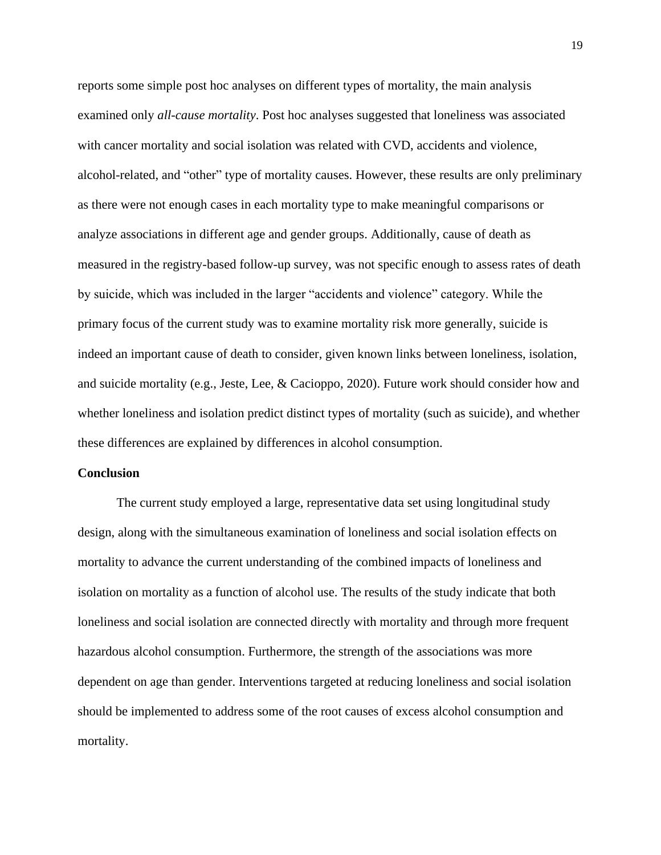reports some simple post hoc analyses on different types of mortality, the main analysis examined only *all-cause mortality*. Post hoc analyses suggested that loneliness was associated with cancer mortality and social isolation was related with CVD, accidents and violence, alcohol-related, and "other" type of mortality causes. However, these results are only preliminary as there were not enough cases in each mortality type to make meaningful comparisons or analyze associations in different age and gender groups. Additionally, cause of death as measured in the registry-based follow-up survey, was not specific enough to assess rates of death by suicide, which was included in the larger "accidents and violence" category. While the primary focus of the current study was to examine mortality risk more generally, suicide is indeed an important cause of death to consider, given known links between loneliness, isolation, and suicide mortality (e.g., Jeste, Lee, & Cacioppo, 2020). Future work should consider how and whether loneliness and isolation predict distinct types of mortality (such as suicide), and whether these differences are explained by differences in alcohol consumption.

#### **Conclusion**

The current study employed a large, representative data set using longitudinal study design, along with the simultaneous examination of loneliness and social isolation effects on mortality to advance the current understanding of the combined impacts of loneliness and isolation on mortality as a function of alcohol use. The results of the study indicate that both loneliness and social isolation are connected directly with mortality and through more frequent hazardous alcohol consumption. Furthermore, the strength of the associations was more dependent on age than gender. Interventions targeted at reducing loneliness and social isolation should be implemented to address some of the root causes of excess alcohol consumption and mortality.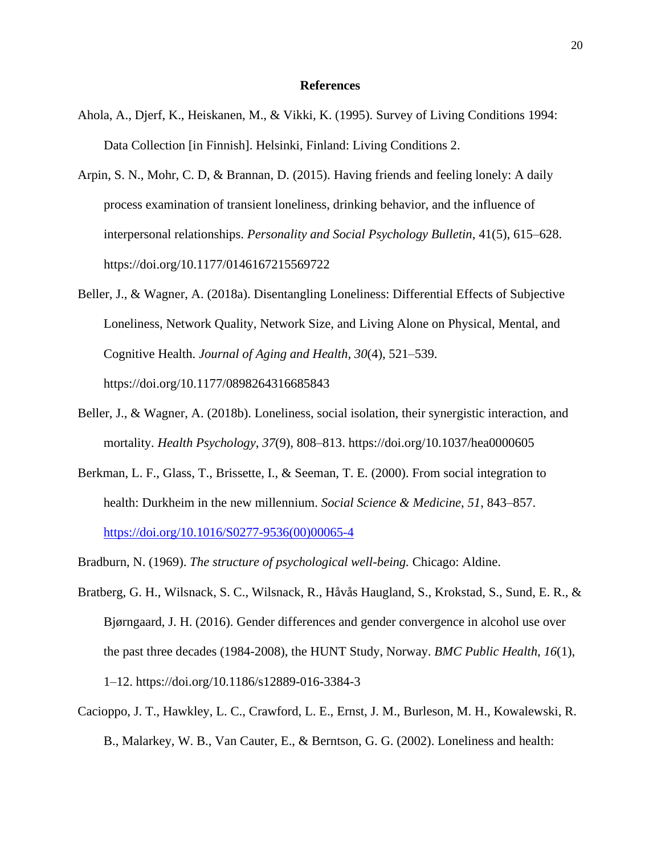#### **References**

- Ahola, A., Djerf, K., Heiskanen, M., & Vikki, K. (1995). Survey of Living Conditions 1994: Data Collection [in Finnish]. Helsinki, Finland: Living Conditions 2.
- Arpin, S. N., Mohr, C. D, & Brannan, D. (2015). Having friends and feeling lonely: A daily process examination of transient loneliness, drinking behavior, and the influence of interpersonal relationships. *Personality and Social Psychology Bulletin*, 41(5), 615–628. <https://doi.org/10.1177/0146167215569722>
- Beller, J., & Wagner, A. (2018a). Disentangling Loneliness: Differential Effects of Subjective Loneliness, Network Quality, Network Size, and Living Alone on Physical, Mental, and Cognitive Health. *Journal of Aging and Health*, *30*(4), 521–539. https://doi.org/10.1177/0898264316685843
- Beller, J., & Wagner, A. (2018b). Loneliness, social isolation, their synergistic interaction, and mortality. *Health Psychology*, *37*(9), 808–813. https://doi.org/10.1037/hea0000605
- Berkman, L. F., Glass, T., Brissette, I., & Seeman, T. E. (2000). From social integration to health: Durkheim in the new millennium. *Social Science & Medicine*, *51*, 843–857. [https://doi.org/10.1016/S0277-9536\(00\)00065-4](https://doi.org/10.1016/S0277-9536(00)00065-4)
- Bradburn, N. (1969). *The structure of psychological well-being.* Chicago: Aldine.
- Bratberg, G. H., Wilsnack, S. C., Wilsnack, R., Håvås Haugland, S., Krokstad, S., Sund, E. R., & Bjørngaard, J. H. (2016). Gender differences and gender convergence in alcohol use over the past three decades (1984-2008), the HUNT Study, Norway. *BMC Public Health*, *16*(1), 1–12. https://doi.org/10.1186/s12889-016-3384-3
- Cacioppo, J. T., Hawkley, L. C., Crawford, L. E., Ernst, J. M., Burleson, M. H., Kowalewski, R. B., Malarkey, W. B., Van Cauter, E., & Berntson, G. G. (2002). Loneliness and health: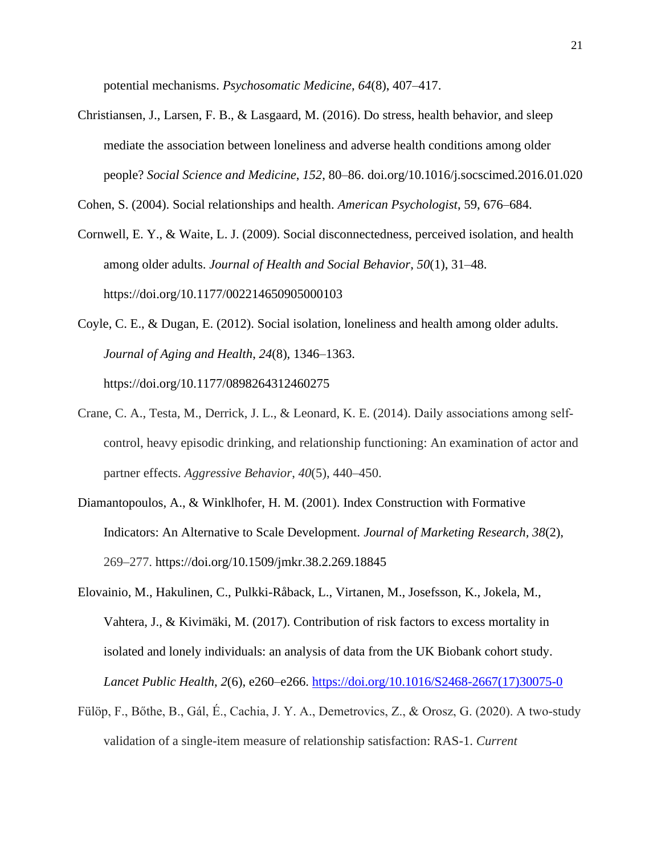potential mechanisms. *Psychosomatic Medicine*, *64*(8), 407–417.

Christiansen, J., Larsen, F. B., & Lasgaard, M. (2016). Do stress, health behavior, and sleep mediate the association between loneliness and adverse health conditions among older people? *Social Science and Medicine*, *152*, 80–86. doi.org/10.1016/j.socscimed.2016.01.020

Cohen, S. (2004). Social relationships and health. *American Psychologist*, 59, 676–684.

Cornwell, E. Y., & Waite, L. J. (2009). Social disconnectedness, perceived isolation, and health among older adults. *Journal of Health and Social Behavior*, *50*(1), 31–48. https://doi.org/10.1177/002214650905000103

- Coyle, C. E., & Dugan, E. (2012). Social isolation, loneliness and health among older adults. *Journal of Aging and Health*, *24*(8), 1346–1363. https://doi.org/10.1177/0898264312460275
- Crane, C. A., Testa, M., Derrick, J. L., & Leonard, K. E. (2014). Daily associations among self‐ control, heavy episodic drinking, and relationship functioning: An examination of actor and partner effects. *Aggressive Behavior*, *40*(5), 440–450.
- Diamantopoulos, A., & Winklhofer, H. M. (2001). Index Construction with Formative Indicators: An Alternative to Scale Development. *Journal of Marketing Research, 38*(2), 269–277. https://doi.org/10.1509/jmkr.38.2.269.18845
- Elovainio, M., Hakulinen, C., Pulkki-Råback, L., Virtanen, M., Josefsson, K., Jokela, M., Vahtera, J., & Kivimäki, M. (2017). Contribution of risk factors to excess mortality in isolated and lonely individuals: an analysis of data from the UK Biobank cohort study. *Lancet Public Health*, *2*(6), e260–e266. [https://doi.org/10.1016/S2468-2667\(17\)30075-0](https://doi.org/10.1016/S2468-2667(17)30075-0)
- Fülöp, F., Bőthe, B., Gál, É., Cachia, J. Y. A., Demetrovics, Z., & Orosz, G. (2020). A two-study validation of a single-item measure of relationship satisfaction: RAS-1. *Current*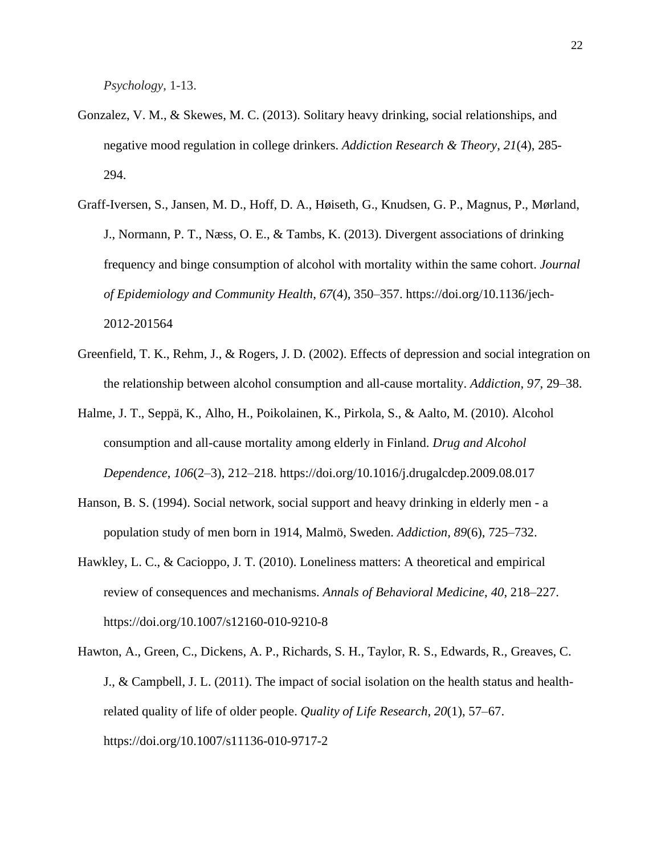*Psychology*, 1-13.

- Gonzalez, V. M., & Skewes, M. C. (2013). Solitary heavy drinking, social relationships, and negative mood regulation in college drinkers. *Addiction Research & Theory*, *21*(4), 285- 294.
- Graff-Iversen, S., Jansen, M. D., Hoff, D. A., Høiseth, G., Knudsen, G. P., Magnus, P., [Mørland,](https://www.ncbi.nlm.nih.gov/pubmed/?term=M%C3%B8rland%20J%5BAuthor%5D&cauthor=true&cauthor_uid=23235547)  [J.](https://www.ncbi.nlm.nih.gov/pubmed/?term=M%C3%B8rland%20J%5BAuthor%5D&cauthor=true&cauthor_uid=23235547), [Normann, P. T.](https://www.ncbi.nlm.nih.gov/pubmed/?term=Normann%20PT%5BAuthor%5D&cauthor=true&cauthor_uid=23235547), [Næss, O. E.](https://www.ncbi.nlm.nih.gov/pubmed/?term=N%C3%A6ss%20OE%5BAuthor%5D&cauthor=true&cauthor_uid=23235547), & Tambs, K. (2013). Divergent associations of drinking frequency and binge consumption of alcohol with mortality within the same cohort. *Journal of Epidemiology and Community Health*, *67*(4), 350–357. https://doi.org/10.1136/jech-2012-201564
- Greenfield, T. K., Rehm, J., & Rogers, J. D. (2002). Effects of depression and social integration on the relationship between alcohol consumption and all-cause mortality. *Addiction*, *97*, 29–38.
- Halme, J. T., Seppä, K., Alho, H., Poikolainen, K., Pirkola, S., & Aalto, M. (2010). Alcohol consumption and all-cause mortality among elderly in Finland. *Drug and Alcohol Dependence*, *106*(2–3), 212–218. https://doi.org/10.1016/j.drugalcdep.2009.08.017
- Hanson, B. S. (1994). Social network, social support and heavy drinking in elderly men a population study of men born in 1914, Malmö, Sweden. *Addiction*, *89*(6), 725–732.
- Hawkley, L. C., & Cacioppo, J. T. (2010). Loneliness matters: A theoretical and empirical review of consequences and mechanisms. *Annals of Behavioral Medicine*, *40*, 218–227. https://doi.org/10.1007/s12160-010-9210-8
- Hawton, A., Green, C., Dickens, A. P., Richards, S. H., Taylor, R. S., Edwards, R., Greaves, C. J., & Campbell, J. L. (2011). The impact of social isolation on the health status and healthrelated quality of life of older people. *Quality of Life Research*, *20*(1), 57–67. https://doi.org/10.1007/s11136-010-9717-2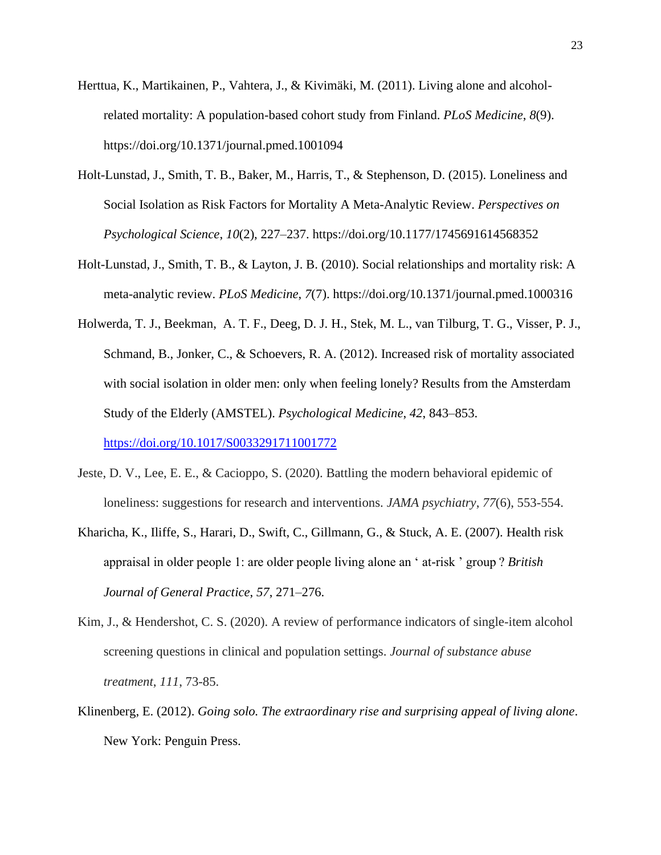- Herttua, K., Martikainen, P., Vahtera, J., & Kivimäki, M. (2011). Living alone and alcoholrelated mortality: A population-based cohort study from Finland. *PLoS Medicine*, *8*(9). https://doi.org/10.1371/journal.pmed.1001094
- Holt-Lunstad, J., Smith, T. B., Baker, M., Harris, T., & Stephenson, D. (2015). Loneliness and Social Isolation as Risk Factors for Mortality A Meta-Analytic Review. *Perspectives on Psychological Science*, *10*(2), 227–237. https://doi.org/10.1177/1745691614568352
- Holt-Lunstad, J., Smith, T. B., & Layton, J. B. (2010). Social relationships and mortality risk: A meta-analytic review. *PLoS Medicine*, *7*(7). https://doi.org/10.1371/journal.pmed.1000316
- Holwerda, T. J., Beekman, A. T. F., Deeg, D. J. H., Stek, M. L., van Tilburg, T. G., Visser, P. J., Schmand, B., Jonker, C., & Schoevers, R. A. (2012). Increased risk of mortality associated with social isolation in older men: only when feeling lonely? Results from the Amsterdam Study of the Elderly (AMSTEL). *Psychological Medicine*, *42*, 843–853.

<https://doi.org/10.1017/S0033291711001772>

- Jeste, D. V., Lee, E. E., & Cacioppo, S. (2020). Battling the modern behavioral epidemic of loneliness: suggestions for research and interventions. *JAMA psychiatry*, *77*(6), 553-554.
- Kharicha, K., Iliffe, S., Harari, D., Swift, C., Gillmann, G., & Stuck, A. E. (2007). Health risk appraisal in older people 1: are older people living alone an ' at-risk ' group ? *British Journal of General Practice*, *57*, 271–276.
- Kim, J., & Hendershot, C. S. (2020). A review of performance indicators of single-item alcohol screening questions in clinical and population settings. *Journal of substance abuse treatment*, *111*, 73-85.
- Klinenberg, E. (2012). *Going solo. The extraordinary rise and surprising appeal of living alone*. New York: Penguin Press.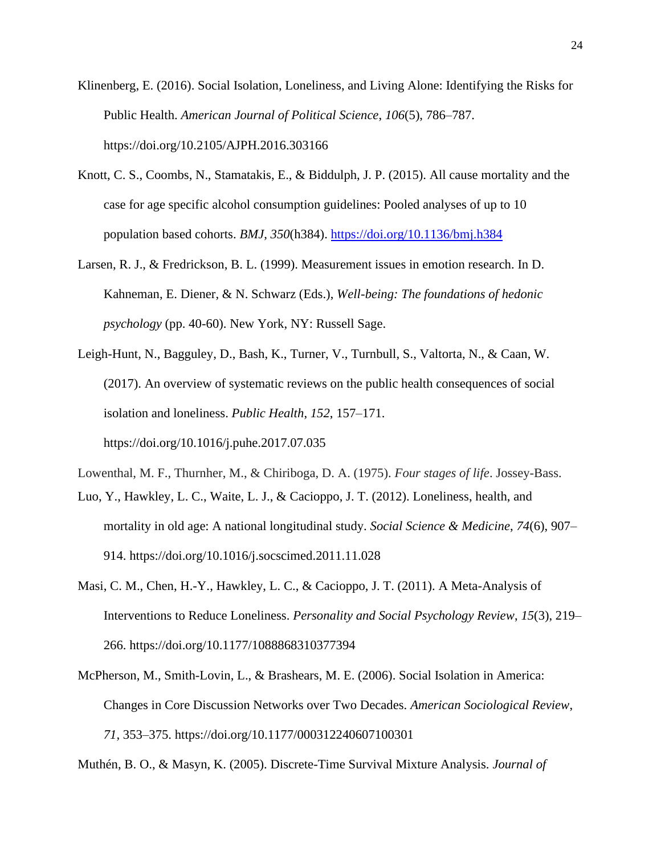Klinenberg, E. (2016). Social Isolation, Loneliness, and Living Alone: Identifying the Risks for Public Health. *American Journal of Political Science*, *106*(5), 786–787. https://doi.org/10.2105/AJPH.2016.303166

- Knott, C. S., Coombs, N., Stamatakis, E., & Biddulph, J. P. (2015). All cause mortality and the case for age specific alcohol consumption guidelines: Pooled analyses of up to 10 population based cohorts. *BMJ*, *350*(h384).<https://doi.org/10.1136/bmj.h384>
- Larsen, R. J., & Fredrickson, B. L. (1999). Measurement issues in emotion research. In D. Kahneman, E. Diener, & N. Schwarz (Eds.), *Well-being: The foundations of hedonic psychology* (pp. 40-60). New York, NY: Russell Sage.
- Leigh-Hunt, N., Bagguley, D., Bash, K., Turner, V., Turnbull, S., Valtorta, N., & Caan, W. (2017). An overview of systematic reviews on the public health consequences of social isolation and loneliness. *Public Health*, *152*, 157–171. https://doi.org/10.1016/j.puhe.2017.07.035

Lowenthal, M. F., Thurnher, M., & Chiriboga, D. A. (1975). *Four stages of life*. Jossey-Bass.

- Luo, Y., Hawkley, L. C., Waite, L. J., & Cacioppo, J. T. (2012). Loneliness, health, and mortality in old age: A national longitudinal study. *Social Science & Medicine*, *74*(6), 907– 914. https://doi.org/10.1016/j.socscimed.2011.11.028
- Masi, C. M., Chen, H.-Y., Hawkley, L. C., & Cacioppo, J. T. (2011). A Meta-Analysis of Interventions to Reduce Loneliness. *Personality and Social Psychology Review*, *15*(3), 219– 266. https://doi.org/10.1177/1088868310377394
- McPherson, M., Smith-Lovin, L., & Brashears, M. E. (2006). Social Isolation in America: Changes in Core Discussion Networks over Two Decades. *American Sociological Review*, *71*, 353–375. https://doi.org/10.1177/000312240607100301

Muthén, B. O., & Masyn, K. (2005). Discrete-Time Survival Mixture Analysis. *Journal of*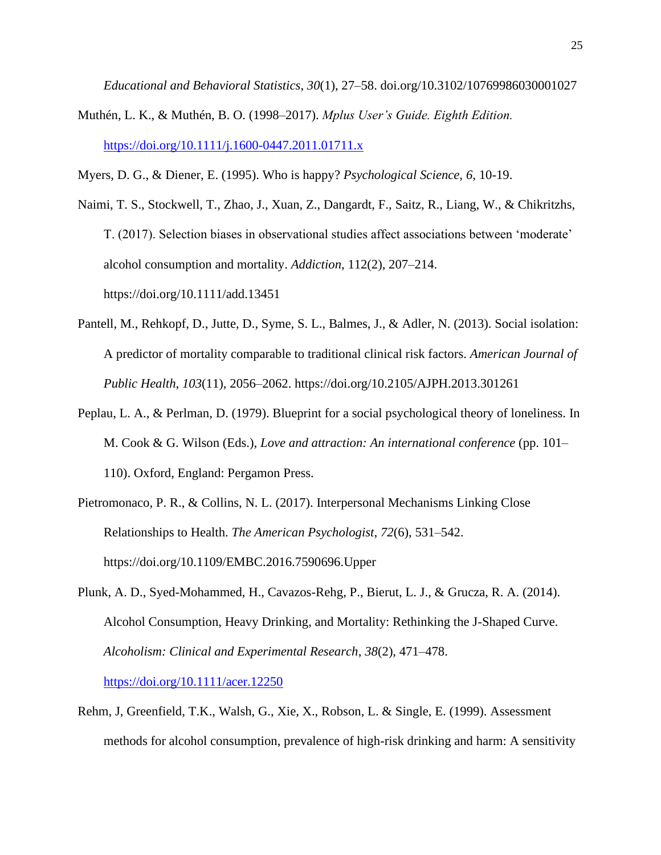*Educational and Behavioral Statistics*, *30*(1), 27–58. doi.org/10.3102/10769986030001027

Muthén, L. K., & Muthén, B. O. (1998–2017). *Mplus User's Guide. Eighth Edition.* <https://doi.org/10.1111/j.1600-0447.2011.01711.x>

Myers, D. G., & Diener, E. (1995). Who is happy? *Psychological Science*, *6*, 10-19.

Naimi, T. S., Stockwell, T., Zhao, J., Xuan, Z., Dangardt, F., Saitz, R., Liang, W., & Chikritzhs, T. (2017). Selection biases in observational studies affect associations between 'moderate' alcohol consumption and mortality. *Addiction*, 112(2), 207–214. <https://doi.org/10.1111/add.13451>

- Pantell, M., Rehkopf, D., Jutte, D., Syme, S. L., Balmes, J., & Adler, N. (2013). Social isolation: A predictor of mortality comparable to traditional clinical risk factors. *American Journal of Public Health*, *103*(11), 2056–2062. https://doi.org/10.2105/AJPH.2013.301261
- Peplau, L. A., & Perlman, D. (1979). Blueprint for a social psychological theory of loneliness. In M. Cook & G. Wilson (Eds.), *Love and attraction: An international conference* (pp. 101– 110). Oxford, England: Pergamon Press.
- Pietromonaco, P. R., & Collins, N. L. (2017). Interpersonal Mechanisms Linking Close Relationships to Health. *The American Psychologist*, *72*(6), 531–542. https://doi.org/10.1109/EMBC.2016.7590696.Upper
- Plunk, A. D., Syed-Mohammed, H., Cavazos-Rehg, P., Bierut, L. J., & Grucza, R. A. (2014). Alcohol Consumption, Heavy Drinking, and Mortality: Rethinking the J-Shaped Curve. *Alcoholism: Clinical and Experimental Research*, *38*(2), 471–478.

<https://doi.org/10.1111/acer.12250>

Rehm, J, Greenfield, T.K., Walsh, G., Xie, X., Robson, L. & Single, E. (1999). Assessment methods for alcohol consumption, prevalence of high-risk drinking and harm: A sensitivity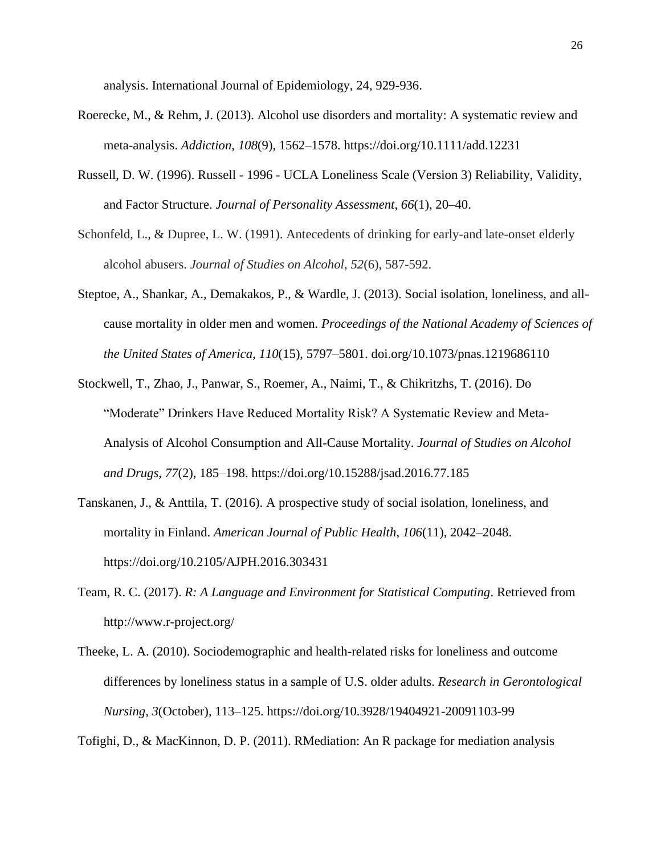analysis. International Journal of Epidemiology, 24, 929-936.

- Roerecke, M., & Rehm, J. (2013). Alcohol use disorders and mortality: A systematic review and meta-analysis. *Addiction*, *108*(9), 1562–1578. https://doi.org/10.1111/add.12231
- Russell, D. W. (1996). Russell 1996 UCLA Loneliness Scale (Version 3) Reliability, Validity, and Factor Structure. *Journal of Personality Assessment*, *66*(1), 20–40.
- Schonfeld, L., & Dupree, L. W. (1991). Antecedents of drinking for early-and late-onset elderly alcohol abusers. *Journal of Studies on Alcohol*, *52*(6), 587-592.
- Steptoe, A., Shankar, A., Demakakos, P., & Wardle, J. (2013). Social isolation, loneliness, and allcause mortality in older men and women. *Proceedings of the National Academy of Sciences of the United States of America*, *110*(15), 5797–5801. doi.org/10.1073/pnas.1219686110
- Stockwell, T., Zhao, J., Panwar, S., Roemer, A., Naimi, T., & Chikritzhs, T. (2016). Do "Moderate" Drinkers Have Reduced Mortality Risk? A Systematic Review and Meta-Analysis of Alcohol Consumption and All-Cause Mortality. *Journal of Studies on Alcohol and Drugs*, *77*(2), 185–198. https://doi.org/10.15288/jsad.2016.77.185
- Tanskanen, J., & Anttila, T. (2016). A prospective study of social isolation, loneliness, and mortality in Finland. *American Journal of Public Health*, *106*(11), 2042–2048. https://doi.org/10.2105/AJPH.2016.303431
- Team, R. C. (2017). *R: A Language and Environment for Statistical Computing*. Retrieved from http://www.r-project.org/
- Theeke, L. A. (2010). Sociodemographic and health-related risks for loneliness and outcome differences by loneliness status in a sample of U.S. older adults. *Research in Gerontological Nursing*, *3*(October), 113–125. https://doi.org/10.3928/19404921-20091103-99

Tofighi, D., & MacKinnon, D. P. (2011). RMediation: An R package for mediation analysis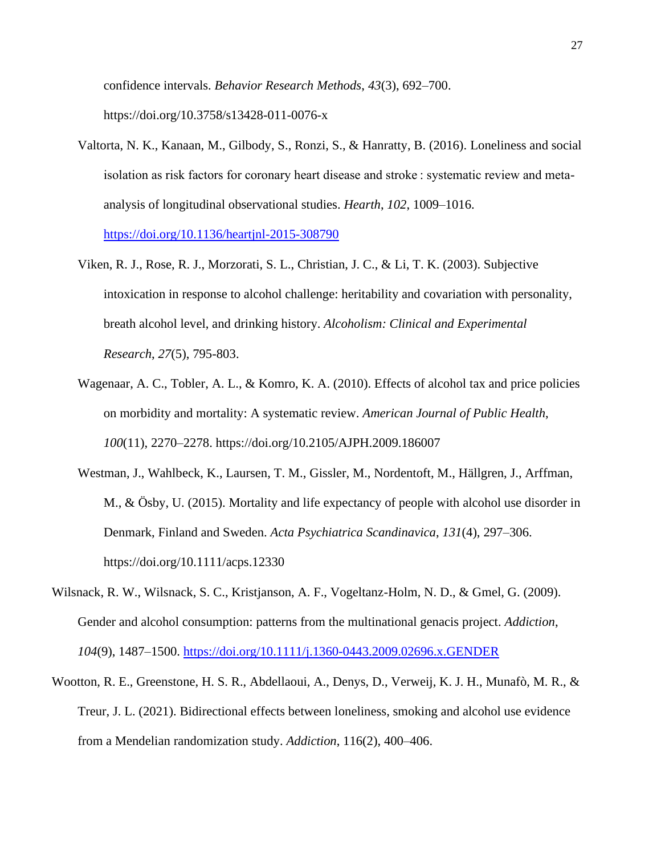confidence intervals. *Behavior Research Methods*, *43*(3), 692–700. https://doi.org/10.3758/s13428-011-0076-x

- Valtorta, N. K., Kanaan, M., Gilbody, S., Ronzi, S., & Hanratty, B. (2016). Loneliness and social isolation as risk factors for coronary heart disease and stroke : systematic review and metaanalysis of longitudinal observational studies. *Hearth*, *102*, 1009–1016. <https://doi.org/10.1136/heartjnl-2015-308790>
- Viken, R. J., Rose, R. J., Morzorati, S. L., Christian, J. C., & Li, T. K. (2003). Subjective intoxication in response to alcohol challenge: heritability and covariation with personality, breath alcohol level, and drinking history. *Alcoholism: Clinical and Experimental Research*, *27*(5), 795-803.
- Wagenaar, A. C., Tobler, A. L., & Komro, K. A. (2010). Effects of alcohol tax and price policies on morbidity and mortality: A systematic review. *American Journal of Public Health*, *100*(11), 2270–2278. https://doi.org/10.2105/AJPH.2009.186007
- Westman, J., Wahlbeck, K., Laursen, T. M., Gissler, M., Nordentoft, M., Hällgren, J., Arffman, M., & Ösby, U. (2015). Mortality and life expectancy of people with alcohol use disorder in Denmark, Finland and Sweden. *Acta Psychiatrica Scandinavica*, *131*(4), 297–306. https://doi.org/10.1111/acps.12330
- Wilsnack, R. W., Wilsnack, S. C., Kristjanson, A. F., Vogeltanz-Holm, N. D., & Gmel, G. (2009). Gender and alcohol consumption: patterns from the multinational genacis project. *Addiction*, *104*(9), 1487–1500.<https://doi.org/10.1111/j.1360-0443.2009.02696.x.GENDER>
- Wootton, R. E., Greenstone, H. S. R., Abdellaoui, A., Denys, D., Verweij, K. J. H., Munafò, M. R., & Treur, J. L. (2021). Bidirectional effects between loneliness, smoking and alcohol use evidence from a Mendelian randomization study. *Addiction*, 116(2), 400–406.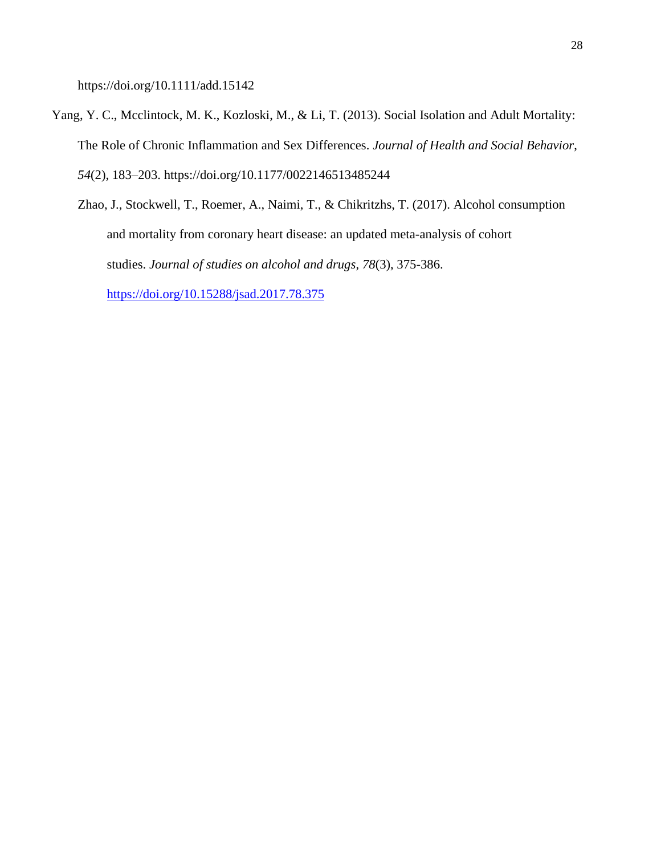<https://doi.org/10.1111/add.15142>

- Yang, Y. C., Mcclintock, M. K., Kozloski, M., & Li, T. (2013). Social Isolation and Adult Mortality: The Role of Chronic Inflammation and Sex Differences. *Journal of Health and Social Behavior*, *54*(2), 183–203. https://doi.org/10.1177/0022146513485244
	- Zhao, J., Stockwell, T., Roemer, A., Naimi, T., & Chikritzhs, T. (2017). Alcohol consumption and mortality from coronary heart disease: an updated meta-analysis of cohort studies. *Journal of studies on alcohol and drugs*, *78*(3), 375-386. <https://doi.org/10.15288/jsad.2017.78.375>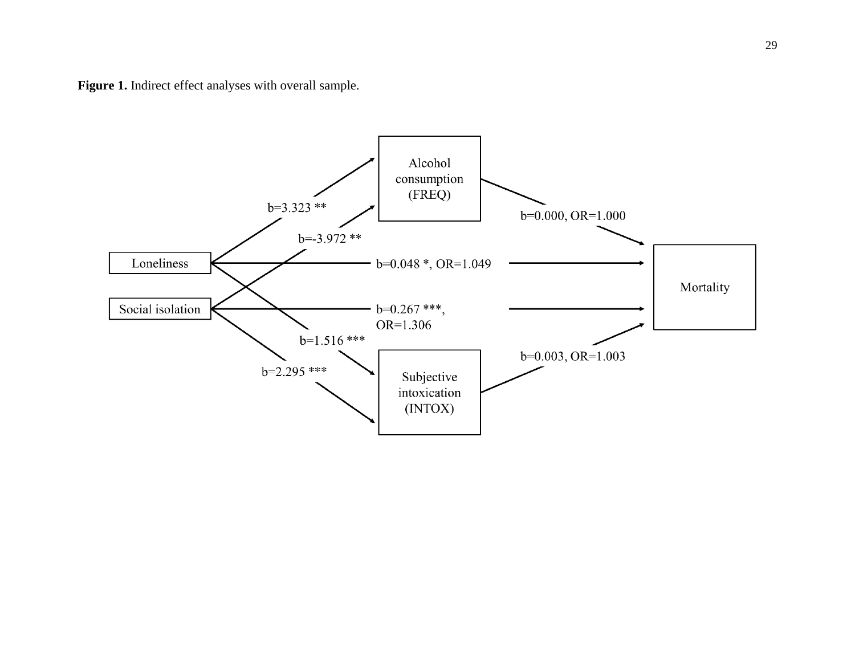Figure 1. Indirect effect analyses with overall sample.

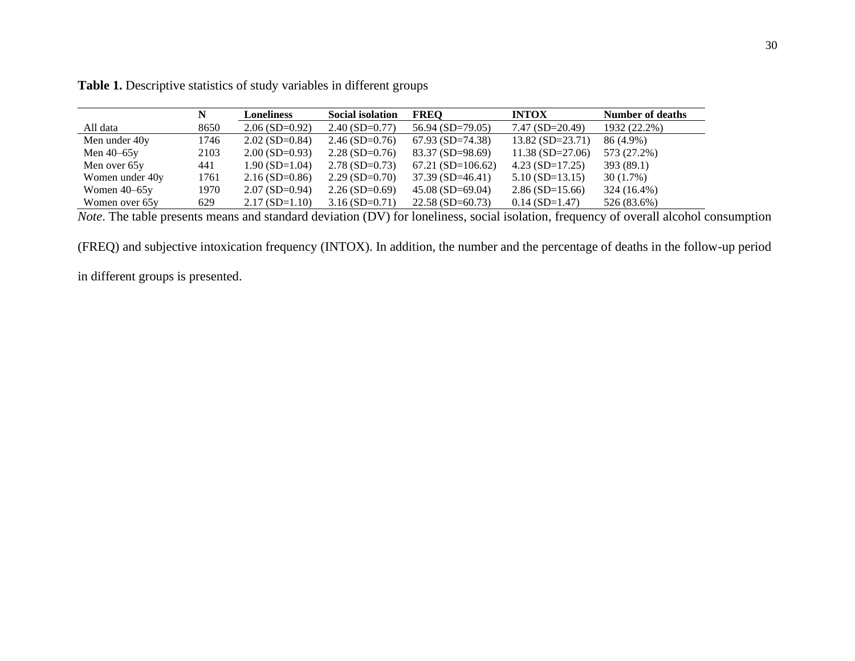|                 | N    | <b>Loneliness</b> | <b>Social isolation</b> | <b>FREO</b>        | <b>INTOX</b>       | <b>Number of deaths</b> |
|-----------------|------|-------------------|-------------------------|--------------------|--------------------|-------------------------|
| All data        | 8650 | $2.06(SD=0.92)$   | $2.40$ (SD=0.77)        | 56.94 (SD=79.05)   | $7.47(SD=20.49)$   | 1932 (22.2%)            |
| Men under 40y   | 1746 | $2.02$ (SD=0.84)  | $2.46(SD=0.76)$         | $67.93$ (SD=74.38) | $13.82$ (SD=23.71) | 86 (4.9%)               |
| Men $40-65y$    | 2103 | $2.00$ (SD=0.93)  | $2.28(SD=0.76)$         | 83.37 (SD=98.69)   | $11.38(SD=27.06)$  | 573 (27.2%)             |
| Men over 65y    | 441  | $1.90(SD=1.04)$   | $2.78$ (SD=0.73)        | $67.21(SD=106.62)$ | $4.23(SD=17.25)$   | 393 (89.1)              |
| Women under 40y | 1761 | $2.16(SD=0.86)$   | $2.29(SD=0.70)$         | $37.39(SD=46.41)$  | $5.10$ (SD=13.15)  | $30(1.7\%)$             |
| Women $40-65y$  | 1970 | $2.07(SD=0.94)$   | $2.26(SD=0.69)$         | $45.08$ (SD=69.04) | $2.86(SD=15.66)$   | 324 (16.4%)             |
| Women over 65y  | 629  | $2.17(SD=1.10)$   | $3.16(SD=0.71)$         | $22.58(SD=60.73)$  | $0.14$ (SD=1.47)   | 526 (83.6%)             |

**Table 1.** Descriptive statistics of study variables in different groups

*Note*. The table presents means and standard deviation (DV) for loneliness, social isolation, frequency of overall alcohol consumption

(FREQ) and subjective intoxication frequency (INTOX). In addition, the number and the percentage of deaths in the follow-up period

in different groups is presented.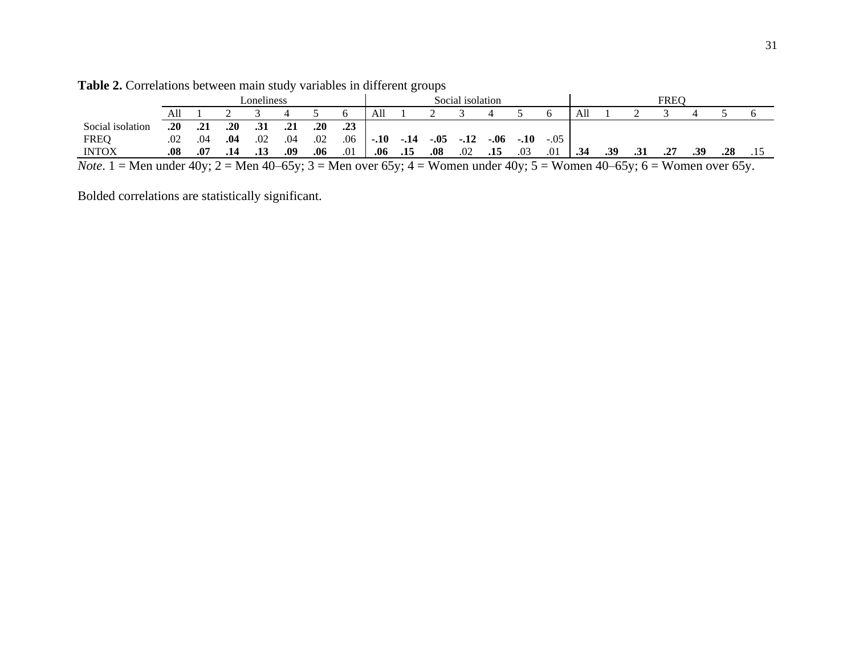|                                                                                                                               | oneliness. |     |     |     |     | Social isolation |     |        |        | FREC   |     |      |        |        |     |     |     |  |     |  |  |
|-------------------------------------------------------------------------------------------------------------------------------|------------|-----|-----|-----|-----|------------------|-----|--------|--------|--------|-----|------|--------|--------|-----|-----|-----|--|-----|--|--|
|                                                                                                                               | All        |     |     |     |     |                  |     | Al     |        |        |     |      |        |        | All |     |     |  |     |  |  |
| Social isolation                                                                                                              | .20        | .21 | .20 | .31 |     | .20              | .23 |        |        |        |     |      |        |        |     |     |     |  |     |  |  |
| <b>FREO</b>                                                                                                                   | .02        | .04 | .04 | .02 | .04 | .02              | .06 | $-.10$ | $-.14$ | $-.05$ |     | -.06 | $-.10$ | $-.05$ |     |     |     |  |     |  |  |
| <b>INTOX</b>                                                                                                                  | .08        | .07 | .14 |     | .09 | .06              | .01 | .06    | .15    | .08    | .02 | .15  | .03    | .01    | .34 | .39 | .31 |  | .39 |  |  |
| <i>Note</i> . 1 = Men under 40y; 2 = Men 40–65y; 3 = Men over 65y; 4 = Women under 40y; 5 = Women 40–65y; 6 = Women over 65y. |            |     |     |     |     |                  |     |        |        |        |     |      |        |        |     |     |     |  |     |  |  |

| Table 2. Correlations between main study variables in different groups |  |  |  |  |
|------------------------------------------------------------------------|--|--|--|--|
|                                                                        |  |  |  |  |

Bolded correlations are statistically significant.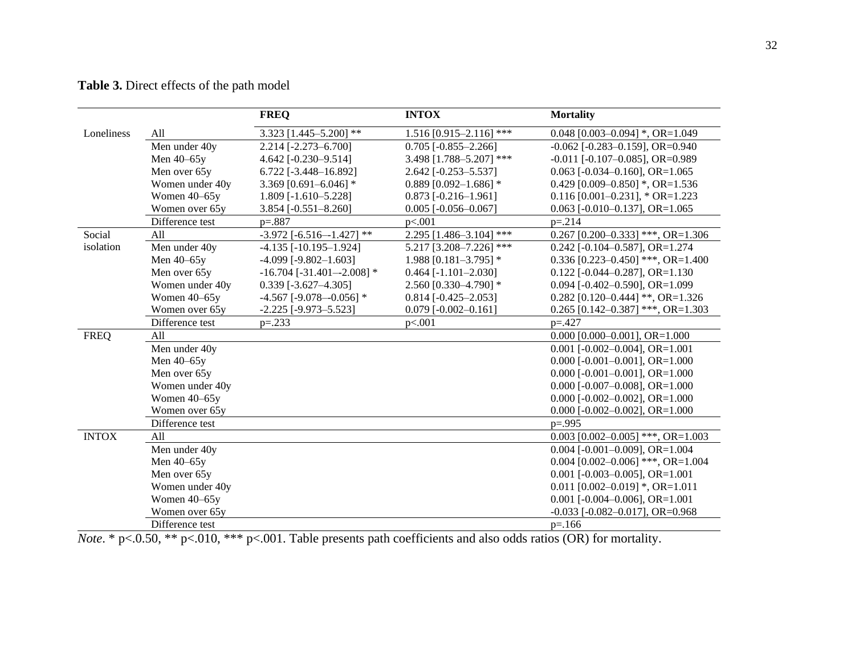# **Table 3.** Direct effects of the path model

|              |                 | <b>FREQ</b>                       | <b>INTOX</b>              | <b>Mortality</b>                            |
|--------------|-----------------|-----------------------------------|---------------------------|---------------------------------------------|
| Loneliness   | All             | 3.323 $[1.445 - 5.200]$ **        | $1.516$ [0.915-2.116] *** | 0.048 [0.003-0.094] *, OR=1.049             |
|              | Men under 40y   | 2.214 [-2.273-6.700]              | $0.705$ [-0.855-2.266]    | $-0.062$ [ $-0.283 - 0.159$ ], OR=0.940     |
|              | Men 40-65y      | 4.642 [ $-0.230 - 9.514$ ]        | 3.498 [1.788-5.207] ***   | $-0.011$ [ $-0.107 - 0.085$ ], OR $= 0.989$ |
|              | Men over 65y    | 6.722 [-3.448-16.892]             | $2.642$ [-0.253-5.537]    | $0.063$ [-0.034-0.160], OR=1.065            |
|              | Women under 40y | 3.369 $[0.691 - 6.046]$ *         | 0.889 [0.092-1.686] $*$   | 0.429 [0.009-0.850] *, OR=1.536             |
|              | Women 40-65y    | 1.809 [-1.610-5.228]              | $0.873$ [-0.216-1.961]    | $0.116$ [0.001-0.231], * OR=1.223           |
|              | Women over 65y  | 3.854 [-0.551-8.260]              | $0.005$ [-0.056-0.067]    | $0.063$ [- $0.010 - 0.137$ ], OR= $1.065$   |
|              | Difference test | $p = 0.887$                       | p<.001                    | $p = 214$                                   |
| Social       | All             | $-3.972$ [ $-6.516 - 1.427$ ] **  | 2.295 [1.486-3.104] ***   | $0.267$ [0.200-0.333] ***, OR=1.306         |
| isolation    | Men under 40y   | $-4.135$ [ $-10.195-1.924$ ]      | 5.217 [3.208-7.226] ***   | $0.242$ [-0.104-0.587], OR=1.274            |
|              | Men 40-65y      | $-4.099$ [ $-9.802 - 1.603$ ]     | 1.988 $[0.181 - 3.795]$ * | 0.336 [0.223-0.450] ***, OR=1.400           |
|              | Men over 65y    | $-16.704$ [ $-31.401 - 2.008$ ] * | $0.464$ [-1.101-2.030]    | $0.122$ [-0.044-0.287], OR=1.130            |
|              | Women under 40y | $0.339$ [-3.627-4.305]            | 2.560 [0.330-4.790] *     | 0.094 [ $-0.402-0.590$ ], OR=1.099          |
|              | Women 40-65y    | -4.567 [-9.078--0.056] *          | $0.814$ [-0.425-2.053]    | 0.282 [0.120-0.444] **, OR=1.326            |
|              | Women over 65y  | $-2.225$ [ $-9.973 - 5.523$ ]     | $0.079$ [-0.002-0.161]    | 0.265 [0.142-0.387] ***, OR=1.303           |
|              | Difference test | $p=.233$                          | p<.001                    | $p = 427$                                   |
| <b>FREQ</b>  | All             |                                   |                           | $0.000$ [0.000-0.001], OR=1.000             |
|              | Men under 40y   |                                   |                           | $0.001$ [- $0.002 - 0.004$ ], OR=1.001      |
|              | Men 40-65y      |                                   |                           | $0.000$ [-0.001-0.001], OR=1.000            |
|              | Men over 65y    |                                   |                           | $0.000$ [- $0.001 - 0.001$ ], OR= $1.000$   |
|              | Women under 40y |                                   |                           | $0.000$ [- $0.007 - 0.008$ ], OR= $1.000$   |
|              | Women 40-65y    |                                   |                           | $0.000$ [-0.002-0.002], OR=1.000            |
|              | Women over 65y  |                                   |                           | $0.000$ [-0.002-0.002], OR=1.000            |
|              | Difference test |                                   |                           | $p = .995$                                  |
| <b>INTOX</b> | All             |                                   |                           | $0.003$ [0.002-0.005] ***, OR=1.003         |
|              | Men under 40y   |                                   |                           | $0.004$ [-0.001-0.009], OR=1.004            |
|              | Men 40-65y      |                                   |                           | $0.004$ [0.002-0.006] ***, OR=1.004         |
|              | Men over 65y    |                                   |                           | $0.001$ [-0.003-0.005], OR=1.001            |
|              | Women under 40y |                                   |                           | $0.011$ [0.002-0.019] *, OR=1.011           |
|              | Women 40-65y    |                                   |                           | $0.001$ [-0.004-0.006], OR=1.001            |
|              | Women over 65y  |                                   |                           | $-0.033$ [ $-0.082 - 0.017$ ], OR=0.968     |
|              | Difference test |                                   |                           | $p = 166$                                   |

*Note*. \* p<.0.50, \*\* p<.010, \*\*\* p<.001. Table presents path coefficients and also odds ratios (OR) for mortality.